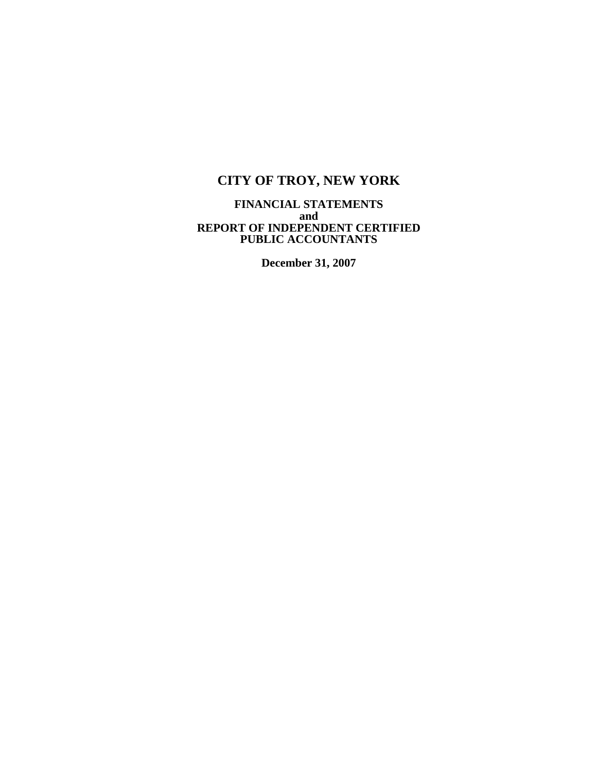### **FINANCIAL STATEMENTS and REPORT OF INDEPENDENT CERTIFIED PUBLIC ACCOUNTANTS**

**December 31, 2007**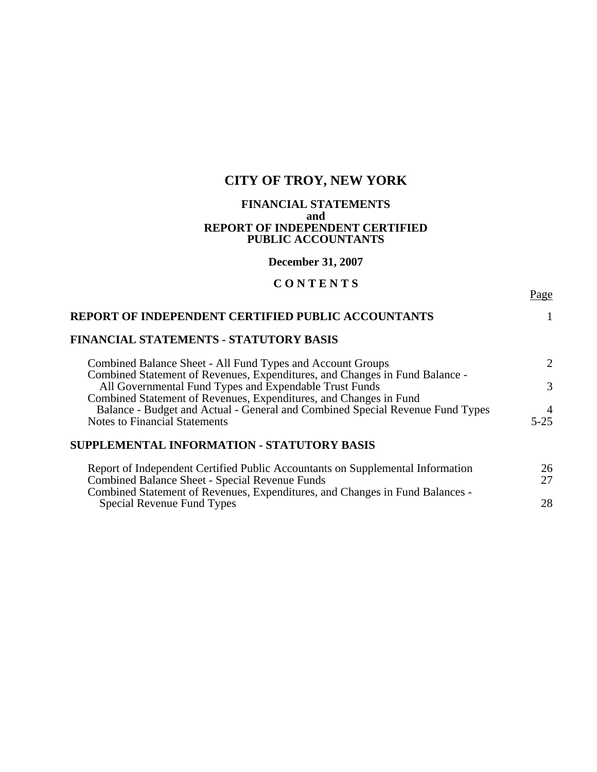### **FINANCIAL STATEMENTS and REPORT OF INDEPENDENT CERTIFIED PUBLIC ACCOUNTANTS**

**December 31, 2007** 

# **C O N T E N T S**

Page

| <b>REPORT OF INDEPENDENT CERTIFIED PUBLIC ACCOUNTANTS</b>                                                                                 |                             |
|-------------------------------------------------------------------------------------------------------------------------------------------|-----------------------------|
| <b>FINANCIAL STATEMENTS - STATUTORY BASIS</b>                                                                                             |                             |
| Combined Balance Sheet - All Fund Types and Account Groups<br>Combined Statement of Revenues, Expenditures, and Changes in Fund Balance - | $\mathcal{D}_{\mathcal{L}}$ |
| All Governmental Fund Types and Expendable Trust Funds<br>Combined Statement of Revenues, Expenditures, and Changes in Fund               | $\mathcal{R}$               |
| Balance - Budget and Actual - General and Combined Special Revenue Fund Types                                                             |                             |
| <b>Notes to Financial Statements</b>                                                                                                      | $5 - 25$                    |
| SUPPLEMENTAL INFORMATION - STATUTORY BASIS                                                                                                |                             |

| Report of Independent Certified Public Accountants on Supplemental Information | 26  |
|--------------------------------------------------------------------------------|-----|
| Combined Balance Sheet - Special Revenue Funds                                 | 27  |
| Combined Statement of Revenues, Expenditures, and Changes in Fund Balances -   |     |
| Special Revenue Fund Types                                                     | 28. |
|                                                                                |     |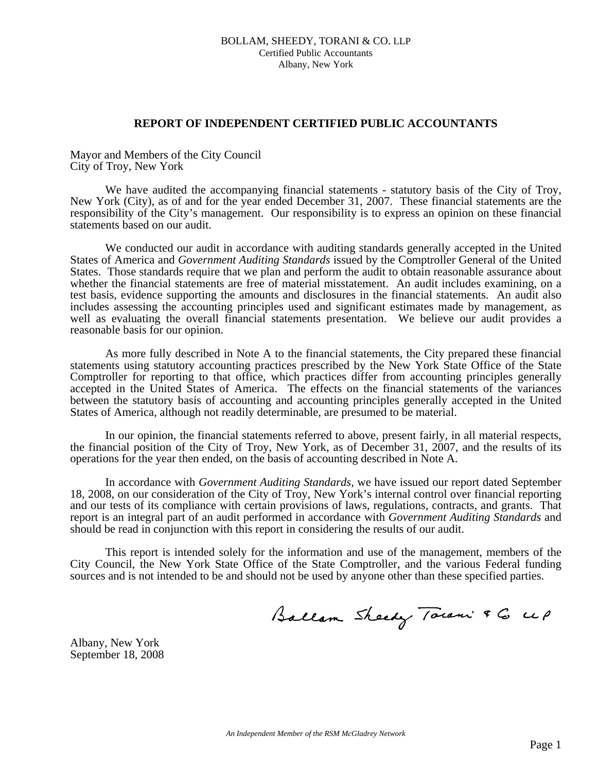### **REPORT OF INDEPENDENT CERTIFIED PUBLIC ACCOUNTANTS**

Mayor and Members of the City Council City of Troy, New York

We have audited the accompanying financial statements - statutory basis of the City of Troy, New York (City), as of and for the year ended December 31, 2007. These financial statements are the responsibility of the City's management. Our responsibility is to express an opinion on these financial statements based on our audit.

 We conducted our audit in accordance with auditing standards generally accepted in the United States of America and *Government Auditing Standards* issued by the Comptroller General of the United States. Those standards require that we plan and perform the audit to obtain reasonable assurance about whether the financial statements are free of material misstatement. An audit includes examining, on a test basis, evidence supporting the amounts and disclosures in the financial statements. An audit also includes assessing the accounting principles used and significant estimates made by management, as well as evaluating the overall financial statements presentation. We believe our audit provides a reasonable basis for our opinion.

 As more fully described in Note A to the financial statements, the City prepared these financial statements using statutory accounting practices prescribed by the New York State Office of the State Comptroller for reporting to that office, which practices differ from accounting principles generally accepted in the United States of America. The effects on the financial statements of the variances between the statutory basis of accounting and accounting principles generally accepted in the United States of America, although not readily determinable, are presumed to be material.

 In our opinion, the financial statements referred to above, present fairly, in all material respects, the financial position of the City of Troy, New York, as of December 31, 2007, and the results of its operations for the year then ended, on the basis of accounting described in Note A.

 In accordance with *Government Auditing Standards*, we have issued our report dated September 18, 2008, on our consideration of the City of Troy, New York's internal control over financial reporting and our tests of its compliance with certain provisions of laws, regulations, contracts, and grants. That report is an integral part of an audit performed in accordance with *Government Auditing Standards* and should be read in conjunction with this report in considering the results of our audit.

 This report is intended solely for the information and use of the management, members of the City Council, the New York State Office of the State Comptroller, and the various Federal funding sources and is not intended to be and should not be used by anyone other than these specified parties.

Ballam Sheedy Town & G up

Albany, New York September 18, 2008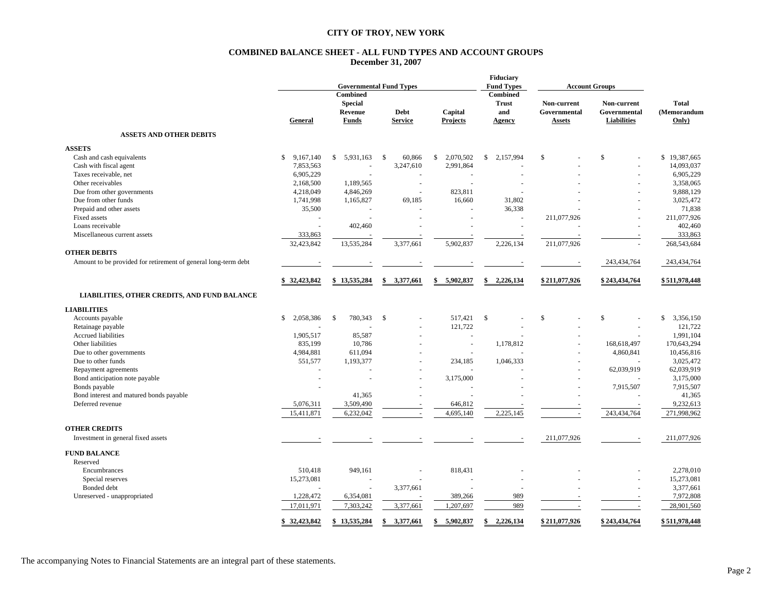#### **COMBINED BALANCE SHEET - ALL FUND TYPES AND ACCOUNT GROUPS December 31, 2007**

|                                                                | <b>Governmental Fund Types</b> |                                                              |                               | <b>Fiduciary</b><br><b>Fund Types</b><br><b>Account Groups</b> |                                                  |                                       |                                                   |                                      |
|----------------------------------------------------------------|--------------------------------|--------------------------------------------------------------|-------------------------------|----------------------------------------------------------------|--------------------------------------------------|---------------------------------------|---------------------------------------------------|--------------------------------------|
|                                                                | General                        | <b>Combined</b><br><b>Special</b><br>Revenue<br><b>Funds</b> | <b>Debt</b><br><b>Service</b> | Capital<br><b>Projects</b>                                     | <b>Combined</b><br><b>Trust</b><br>and<br>Agency | Non-current<br>Governmental<br>Assets | Non-current<br>Governmental<br><b>Liabilities</b> | <b>Total</b><br>(Memorandum<br>Only) |
| <b>ASSETS AND OTHER DEBITS</b>                                 |                                |                                                              |                               |                                                                |                                                  |                                       |                                                   |                                      |
| <b>ASSETS</b>                                                  |                                |                                                              |                               |                                                                |                                                  |                                       |                                                   |                                      |
| Cash and cash equivalents                                      | $\mathbb{S}$<br>9,167,140      | 5.931.163<br>$\mathbb{S}$                                    | <sup>\$</sup><br>60.866       | $\mathbb{S}$<br>2,070,502                                      | $\mathbb{S}$<br>2.157.994                        | \$                                    | $\mathsf{\$}$                                     | \$19,387,665                         |
| Cash with fiscal agent                                         | 7,853,563                      |                                                              | 3,247,610                     | 2,991,864                                                      |                                                  |                                       |                                                   | 14,093,037                           |
| Taxes receivable, net                                          | 6,905,229                      |                                                              |                               |                                                                |                                                  |                                       |                                                   | 6,905,229                            |
| Other receivables                                              | 2,168,500                      | 1,189,565                                                    | $\sim$                        | ÷,                                                             |                                                  |                                       |                                                   | 3,358,065                            |
| Due from other governments                                     | 4,218,049                      | 4,846,269                                                    | ÷.                            | 823,811                                                        |                                                  |                                       |                                                   | 9,888,129                            |
| Due from other funds                                           | 1,741,998                      | 1,165,827                                                    | 69,185                        | 16,660                                                         | 31,802                                           |                                       |                                                   | 3,025,472                            |
| Prepaid and other assets                                       | 35,500                         |                                                              |                               |                                                                | 36,338                                           |                                       |                                                   | 71,838                               |
| Fixed assets                                                   | ÷.                             |                                                              |                               |                                                                |                                                  | 211,077,926                           |                                                   | 211,077,926                          |
| Loans receivable                                               | ÷.                             | 402,460                                                      |                               |                                                                |                                                  |                                       |                                                   | 402,460                              |
| Miscellaneous current assets                                   | 333,863                        |                                                              |                               |                                                                |                                                  | $\sim$                                |                                                   | 333,863                              |
|                                                                | 32,423,842                     | 13,535,284                                                   | 3,377,661                     | 5,902,837                                                      | 2,226,134                                        | 211,077,926                           |                                                   | 268,543,684                          |
| <b>OTHER DEBITS</b>                                            |                                |                                                              |                               |                                                                |                                                  |                                       |                                                   |                                      |
|                                                                |                                |                                                              |                               |                                                                |                                                  |                                       |                                                   |                                      |
| Amount to be provided for retirement of general long-term debt |                                |                                                              |                               |                                                                |                                                  | $\overline{\phantom{a}}$              | 243,434,764                                       | 243,434,764                          |
|                                                                | \$32,423,842                   | \$13,535,284                                                 | \$<br>3,377,661               | \$<br>5,902,837                                                | \$<br>2,226,134                                  | \$211,077,926                         | \$243,434,764                                     | \$511,978,448                        |
| LIABILITIES, OTHER CREDITS, AND FUND BALANCE                   |                                |                                                              |                               |                                                                |                                                  |                                       |                                                   |                                      |
| <b>LIABILITIES</b>                                             |                                |                                                              |                               |                                                                |                                                  |                                       |                                                   |                                      |
| Accounts payable                                               | $\mathbb{S}$<br>2,058,386      | $\mathbb{S}$<br>780,343                                      | -S                            | 517,421                                                        | \$                                               | \$                                    | \$                                                | \$3,356,150                          |
| Retainage payable                                              |                                |                                                              |                               | 121,722                                                        |                                                  |                                       | $\sim$                                            | 121,722                              |
| Accrued liabilities                                            | 1,905,517                      | 85,587                                                       |                               |                                                                |                                                  |                                       |                                                   | 1,991,104                            |
| Other liabilities                                              | 835,199                        | 10,786                                                       |                               | ä,                                                             | 1,178,812                                        |                                       | 168,618,497                                       | 170,643,294                          |
| Due to other governments                                       | 4,984,881                      | 611,094                                                      |                               | $\ddot{\phantom{1}}$                                           |                                                  |                                       | 4,860,841                                         | 10,456,816                           |
| Due to other funds                                             | 551,577                        | 1,193,377                                                    |                               | 234.185                                                        | 1,046,333                                        |                                       |                                                   | 3,025,472                            |
| Repayment agreements                                           |                                |                                                              |                               |                                                                |                                                  |                                       | 62,039,919                                        | 62,039,919                           |
| Bond anticipation note payable                                 |                                |                                                              |                               | 3,175,000                                                      |                                                  |                                       |                                                   | 3,175,000                            |
| Bonds payable                                                  |                                |                                                              |                               |                                                                |                                                  |                                       | 7,915,507                                         | 7,915,507                            |
| Bond interest and matured bonds payable                        |                                | 41,365                                                       |                               |                                                                |                                                  |                                       |                                                   | 41,365                               |
| Deferred revenue                                               | 5,076,311                      | 3,509,490                                                    |                               | 646,812                                                        |                                                  |                                       |                                                   | 9,232,613                            |
|                                                                |                                |                                                              |                               |                                                                |                                                  |                                       |                                                   |                                      |
|                                                                | 15,411,871                     | 6,232,042                                                    | $\sim$                        | 4,695,140                                                      | 2,225,145                                        | $\overline{\phantom{a}}$              | 243,434,764                                       | 271,998,962                          |
| <b>OTHER CREDITS</b>                                           |                                |                                                              |                               |                                                                |                                                  |                                       |                                                   |                                      |
| Investment in general fixed assets                             |                                |                                                              |                               |                                                                |                                                  | 211,077,926                           |                                                   | 211,077,926                          |
| <b>FUND BALANCE</b>                                            |                                |                                                              |                               |                                                                |                                                  |                                       |                                                   |                                      |
| Reserved                                                       |                                |                                                              |                               |                                                                |                                                  |                                       |                                                   |                                      |
| Encumbrances                                                   | 510,418                        | 949,161                                                      |                               | 818,431                                                        |                                                  |                                       |                                                   | 2,278,010                            |
| Special reserves                                               | 15,273,081                     |                                                              |                               |                                                                |                                                  |                                       |                                                   | 15,273,081                           |
| Bonded debt                                                    |                                |                                                              | 3,377,661                     |                                                                |                                                  |                                       |                                                   | 3,377,661                            |
| Unreserved - unappropriated                                    | 1,228,472                      | 6,354,081                                                    |                               | 389,266                                                        | 989                                              |                                       |                                                   | 7,972,808                            |
|                                                                | 17,011,971                     | 7,303,242                                                    | 3,377,661                     | 1,207,697                                                      | 989                                              | $\sim$                                | $\sim$                                            | 28,901,560                           |
|                                                                | \$32,423,842                   | \$13,535,284                                                 | \$<br>3,377,661               | \$<br>5,902,837                                                | 2,226,134<br>\$                                  | \$211,077,926                         | \$243,434,764                                     | \$511,978,448                        |

The accompanying Notes to Financial Statements are an integral part of these statements.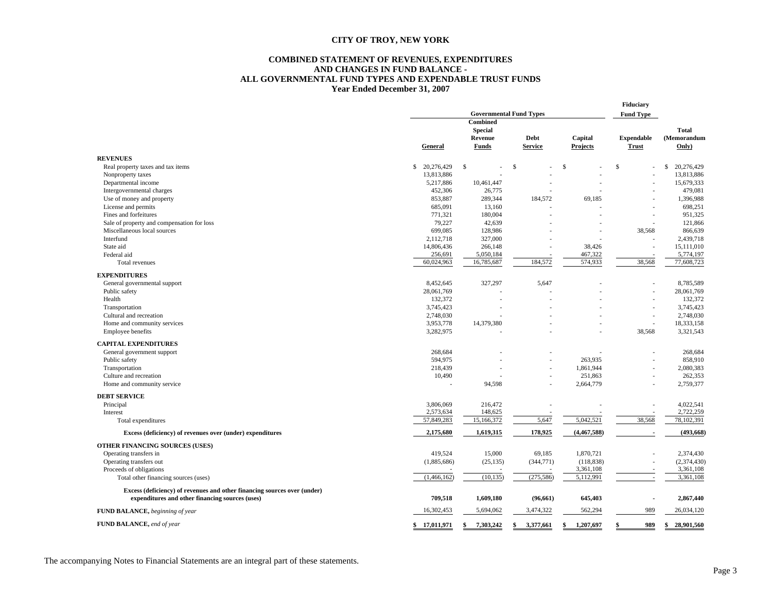#### **COMBINED STATEMENT OF REVENUES, EXPENDITURES AND CHANGES IN FUND BALANCE - ALL GOVERNMENTAL FUND TYPES AND EXPENDABLE TRUST FUNDS Year Ended December 31, 2007**

|                                                                          | <b>Governmental Fund Types</b> |                 |                 |                 | Fiduciary<br><b>Fund Type</b> |                  |
|--------------------------------------------------------------------------|--------------------------------|-----------------|-----------------|-----------------|-------------------------------|------------------|
|                                                                          |                                | Combined        |                 |                 |                               |                  |
|                                                                          |                                | <b>Special</b>  |                 |                 |                               | <b>Total</b>     |
|                                                                          |                                | Revenue         | Debt            | Capital         | <b>Expendable</b>             | (Memorandum      |
|                                                                          | General                        | <b>Funds</b>    | <b>Service</b>  | Projects        | <b>Trust</b>                  | Only)            |
| <b>REVENUES</b>                                                          |                                |                 |                 |                 |                               |                  |
| Real property taxes and tax items                                        | \$<br>20,276,429               | \$              | \$              | S.              | \$                            | S<br>20,276,429  |
| Nonproperty taxes                                                        | 13,813,886                     |                 |                 |                 |                               | 13,813,886       |
| Departmental income                                                      | 5,217,886                      | 10,461,447      |                 |                 |                               | 15,679,333       |
| Intergovernmental charges                                                | 452,306                        | 26,775          |                 |                 |                               | 479,081          |
| Use of money and property                                                | 853,887                        | 289,344         | 184,572         | 69,185          |                               | 1,396,988        |
| License and permits                                                      | 685,091                        | 13,160          |                 |                 |                               | 698,251          |
| Fines and forfeitures                                                    | 771,321                        | 180,004         |                 |                 |                               | 951,325          |
| Sale of property and compensation for loss                               | 79,227                         | 42,639          |                 |                 |                               | 121,866          |
| Miscellaneous local sources                                              | 699,085                        | 128,986         |                 |                 | 38,568                        | 866,639          |
| Interfund                                                                | 2,112,718                      | 327,000         |                 |                 |                               | 2,439,718        |
| State aid                                                                | 14,806,436                     | 266,148         |                 | 38,426          | ä,                            | 15,111,010       |
| Federal aid                                                              | 256,691                        | 5,050,184       |                 | 467,322         |                               | 5,774,197        |
| Total revenues                                                           | 60,024,963                     | 16,785,687      | 184,572         | 574,933         | 38,568                        | 77,608,723       |
|                                                                          |                                |                 |                 |                 |                               |                  |
| <b>EXPENDITURES</b>                                                      |                                |                 |                 |                 |                               |                  |
| General governmental support                                             | 8,452,645                      | 327,297         | 5,647           |                 |                               | 8,785,589        |
| Public safety                                                            | 28,061,769                     |                 |                 |                 |                               | 28,061,769       |
| Health                                                                   | 132,372                        |                 |                 |                 |                               | 132,372          |
| Transportation                                                           | 3,745,423                      |                 |                 |                 | ٠                             | 3,745,423        |
| Cultural and recreation                                                  | 2,748,030                      |                 |                 |                 | ×,                            | 2,748,030        |
| Home and community services                                              | 3,953,778                      | 14,379,380      |                 |                 | ÷                             | 18,333,158       |
| Employee benefits                                                        | 3,282,975                      |                 |                 |                 | 38,568                        | 3,321,543        |
| <b>CAPITAL EXPENDITURES</b>                                              |                                |                 |                 |                 |                               |                  |
| General government support                                               | 268,684                        |                 |                 |                 |                               | 268,684          |
| Public safety                                                            | 594,975                        |                 |                 | 263,935         |                               | 858,910          |
| Transportation                                                           | 218,439                        |                 |                 | 1,861,944       |                               | 2,080,383        |
| Culture and recreation                                                   | 10,490                         |                 |                 | 251,863         |                               | 262,353          |
| Home and community service                                               | J.                             | 94,598          |                 | 2,664,779       | ÷                             | 2,759,377        |
| <b>DEBT SERVICE</b>                                                      |                                |                 |                 |                 |                               |                  |
| Principal                                                                | 3,806,069                      | 216,472         |                 |                 |                               | 4,022,541        |
| Interest                                                                 | 2,573,634                      | 148,625         |                 |                 |                               | 2,722,259        |
| Total expenditures                                                       | 57,849,283                     | 15,166,372      | 5,647           | 5,042,521       | 38,568                        | 78,102,391       |
| Excess (deficiency) of revenues over (under) expenditures                | 2,175,680                      | 1,619,315       | 178,925         | (4,467,588)     |                               | (493, 668)       |
| <b>OTHER FINANCING SOURCES (USES)</b>                                    |                                |                 |                 |                 |                               |                  |
| Operating transfers in                                                   | 419,524                        | 15,000          | 69,185          | 1,870,721       |                               | 2,374,430        |
| Operating transfers out                                                  | (1,885,686)                    | (25, 135)       | (344, 771)      | (118, 838)      |                               | (2,374,430)      |
| Proceeds of obligations                                                  |                                |                 |                 | 3,361,108       |                               | 3,361,108        |
| Total other financing sources (uses)                                     | (1,466,162)                    | (10, 135)       | (275, 586)      | 5,112,991       | $\overline{\phantom{a}}$      | 3,361,108        |
| Excess (deficiency) of revenues and other financing sources over (under) |                                |                 |                 |                 |                               |                  |
| expenditures and other financing sources (uses)                          | 709,518                        | 1,609,180       | (96, 661)       | 645,403         | $\blacksquare$                | 2,867,440        |
| FUND BALANCE, beginning of year                                          | 16,302,453                     | 5,694,062       | 3,474,322       | 562,294         | 989                           | 26,034,120       |
| FUND BALANCE, end of year                                                | \$17,011,971                   | 7,303,242<br>\$ | \$<br>3,377,661 | 1,207,697<br>\$ | 989<br>\$                     | 28,901,560<br>S. |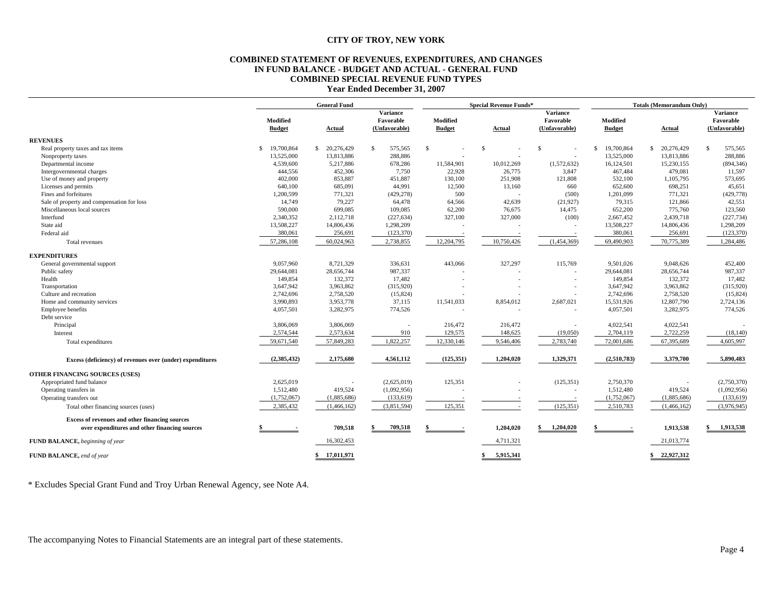#### **COMBINED STATEMENT OF REVENUES, EXPENDITURES, AND CHANGES IN FUND BALANCE - BUDGET AND ACTUAL - GENERAL FUND COMBINED SPECIAL REVENUE FUND TYPES Year Ended December 31, 2007**

|                                                           |                           | <b>General Fund</b> |                                               |                           | <b>Special Revenue Funds*</b> |                                               |                           | <b>Totals (Memorandum Only)</b> |                                               |  |
|-----------------------------------------------------------|---------------------------|---------------------|-----------------------------------------------|---------------------------|-------------------------------|-----------------------------------------------|---------------------------|---------------------------------|-----------------------------------------------|--|
|                                                           | Modified<br><b>Budget</b> | <b>Actual</b>       | <b>Variance</b><br>Favorable<br>(Unfavorable) | Modified<br><b>Budget</b> | <b>Actual</b>                 | <b>Variance</b><br>Favorable<br>(Unfavorable) | Modified<br><b>Budget</b> | <b>Actual</b>                   | <b>Variance</b><br>Favorable<br>(Unfavorable) |  |
| <b>REVENUES</b>                                           |                           |                     |                                               |                           |                               |                                               |                           |                                 |                                               |  |
| Real property taxes and tax items                         | 19,700,864<br>\$          | \$20,276,429        | 575,565<br>S.                                 | $\mathbb{S}$              | \$.                           | $\mathbb{S}$                                  | 19,700,864<br>\$          | S.<br>20,276,429                | $\mathbb{S}$<br>575,565                       |  |
| Nonproperty taxes                                         | 13,525,000                | 13,813,886          | 288,886                                       |                           |                               |                                               | 13,525,000                | 13,813,886                      | 288,886                                       |  |
| Departmental income                                       | 4,539,600                 | 5,217,886           | 678,286                                       | 11,584,901                | 10,012,269                    | (1,572,632)                                   | 16,124,501                | 15,230,155                      | (894, 346)                                    |  |
| Intergovernmental charges                                 | 444,556                   | 452,306             | 7,750                                         | 22,928                    | 26,775                        | 3,847                                         | 467,484                   | 479,081                         | 11,597                                        |  |
| Use of money and property                                 | 402,000                   | 853.887             | 451,887                                       | 130,100                   | 251,908                       | 121,808                                       | 532,100                   | 1,105,795                       | 573,695                                       |  |
| Licenses and permits                                      | 640,100                   | 685,091             | 44,991                                        | 12,500                    | 13,160                        | 660                                           | 652,600                   | 698,251                         | 45,651                                        |  |
| Fines and forfeitures                                     | 1,200,599                 | 771,321             | (429, 278)                                    | 500                       |                               | (500)                                         | 1,201,099                 | 771,321                         | (429, 778)                                    |  |
| Sale of property and compensation for loss                | 14,749                    | 79,227              | 64,478                                        | 64,566                    | 42,639                        | (21,927)                                      | 79,315                    | 121,866                         | 42,551                                        |  |
| Miscellaneous local sources                               | 590,000                   | 699,085             | 109,085                                       | 62,200                    | 76,675                        | 14,475                                        | 652,200                   | 775,760                         | 123,560                                       |  |
| Interfund                                                 | 2,340,352                 | 2,112,718           | (227, 634)                                    | 327,100                   | 327,000                       | (100)                                         | 2,667,452                 | 2,439,718                       | (227, 734)                                    |  |
| State aid                                                 | 13,508,227                | 14,806,436          | 1,298,209                                     |                           |                               |                                               | 13,508,227                | 14,806,436                      | 1,298,209                                     |  |
| Federal aid                                               | 380,061                   | 256,691             | (123, 370)                                    |                           |                               |                                               | 380,061                   | 256,691                         | (123, 370)                                    |  |
| Total revenues                                            | 57,286,108                | 60,024,963          | 2,738,855                                     | 12,204,795                | 10,750,426                    | (1,454,369)                                   | 69,490,903                | 70,775,389                      | 1,284,486                                     |  |
| <b>EXPENDITURES</b>                                       |                           |                     |                                               |                           |                               |                                               |                           |                                 |                                               |  |
| General governmental support                              | 9,057,960                 | 8,721,329           | 336,631                                       | 443,066                   | 327,297                       | 115,769                                       | 9,501,026                 | 9,048,626                       | 452,400                                       |  |
| Public safety                                             | 29,644,081                | 28,656,744          | 987,337                                       |                           |                               |                                               | 29,644,081                | 28,656,744                      | 987,337                                       |  |
| Health                                                    | 149,854                   | 132,372             | 17,482                                        |                           |                               |                                               | 149,854                   | 132,372                         | 17,482                                        |  |
| Transportation                                            | 3,647,942                 | 3,963,862           | (315,920)                                     |                           |                               |                                               | 3,647,942                 | 3,963,862                       | (315,920)                                     |  |
| Culture and recreation                                    | 2,742,696                 | 2,758,520           | (15,824)                                      |                           |                               |                                               | 2,742,696                 | 2,758,520                       | (15,824)                                      |  |
| Home and community services                               | 3,990,893                 | 3,953,778           | 37,115                                        | 11,541,033                | 8,854,012                     | 2,687,021                                     | 15,531,926                | 12,807,790                      | 2,724,136                                     |  |
| Employee benefits                                         | 4,057,501                 | 3,282,975           | 774,526                                       |                           |                               |                                               | 4,057,501                 | 3,282,975                       | 774,526                                       |  |
| Debt service                                              |                           |                     |                                               |                           |                               |                                               |                           |                                 |                                               |  |
| Principal                                                 | 3,806,069                 | 3,806,069           |                                               | 216,472                   | 216,472                       |                                               | 4,022,541                 | 4,022,541                       |                                               |  |
| Interest                                                  | 2,574,544                 | 2,573,634           | 910                                           | 129,575                   | 148,625                       | (19,050)                                      | 2,704,119                 | 2,722,259                       | (18, 140)                                     |  |
| Total expenditures                                        | 59,671,540                | 57,849,283          | 1,822,257                                     | 12,330,146                | 9,546,406                     | 2,783,740                                     | 72,001,686                | 67,395,689                      | 4,605,997                                     |  |
| Excess (deficiency) of revenues over (under) expenditures | (2, 385, 432)             | 2,175,680           | 4,561,112                                     | (125, 351)                | 1,204,020                     | 1,329,371                                     | (2,510,783)               | 3,379,700                       | 5,890,483                                     |  |
| OTHER FINANCING SOURCES (USES)                            |                           |                     |                                               |                           |                               |                                               |                           |                                 |                                               |  |
| Appropriated fund balance                                 | 2,625,019                 |                     | (2,625,019)                                   | 125,351                   |                               | (125, 351)                                    | 2,750,370                 |                                 | (2,750,370)                                   |  |
| Operating transfers in                                    | 1,512,480                 | 419,524             | (1,092,956)                                   |                           |                               | $\overline{\phantom{a}}$                      | 1,512,480                 | 419,524                         | (1,092,956)                                   |  |
| Operating transfers out                                   | (1,752,067)               | (1,885,686)         | (133, 619)                                    |                           |                               |                                               | (1,752,067)               | (1,885,686)                     | (133, 619)                                    |  |
| Total other financing sources (uses)                      | 2,385,432                 | (1,466,162)         | (3,851,594)                                   | 125,351                   |                               | (125, 351)                                    | 2,510,783                 | (1,466,162)                     | (3,976,945)                                   |  |
| Excess of revenues and other financing sources            |                           |                     |                                               |                           |                               |                                               |                           |                                 |                                               |  |
| over expenditures and other financing sources             |                           | 709,518             | 709,518                                       | \$                        | 1,204,020                     | 1,204,020<br>s.                               |                           | 1,913,538                       | 1,913,538                                     |  |
| FUND BALANCE, beginning of year                           |                           | 16,302,453          |                                               |                           | 4,711,321                     |                                               |                           | 21,013,774                      |                                               |  |
| FUND BALANCE, end of year                                 |                           | \$17,011,971        |                                               |                           | 5.915.341<br>\$               |                                               |                           | \$22,927,312                    |                                               |  |

\* Excludes Special Grant Fund and Troy Urban Renewal Agency, see Note A4.

The accompanying Notes to Financial Statements are an integral part of these statements.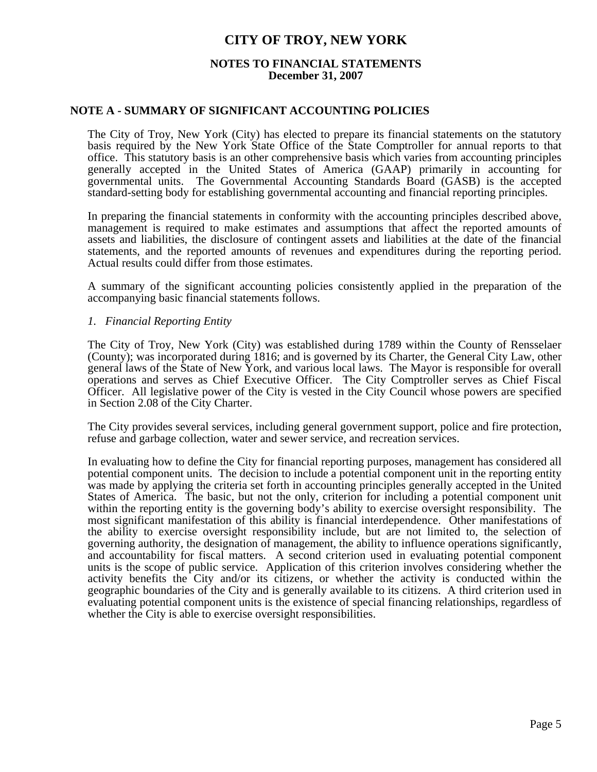### **NOTES TO FINANCIAL STATEMENTS December 31, 2007**

### **NOTE A - SUMMARY OF SIGNIFICANT ACCOUNTING POLICIES**

 The City of Troy, New York (City) has elected to prepare its financial statements on the statutory basis required by the New York State Office of the State Comptroller for annual reports to that office. This statutory basis is an other comprehensive basis which varies from accounting principles generally accepted in the United States of America (GAAP) primarily in accounting for governmental units. The Governmental Accounting Standards Board (GASB) is the accepted standard-setting body for establishing governmental accounting and financial reporting principles.

 In preparing the financial statements in conformity with the accounting principles described above, management is required to make estimates and assumptions that affect the reported amounts of assets and liabilities, the disclosure of contingent assets and liabilities at the date of the financial statements, and the reported amounts of revenues and expenditures during the reporting period. Actual results could differ from those estimates.

 A summary of the significant accounting policies consistently applied in the preparation of the accompanying basic financial statements follows.

### *1. Financial Reporting Entity*

 The City of Troy, New York (City) was established during 1789 within the County of Rensselaer (County); was incorporated during 1816; and is governed by its Charter, the General City Law, other general laws of the State of New York, and various local laws. The Mayor is responsible for overall operations and serves as Chief Executive Officer. The City Comptroller serves as Chief Fiscal Officer. All legislative power of the City is vested in the City Council whose powers are specified in Section 2.08 of the City Charter.

 The City provides several services, including general government support, police and fire protection, refuse and garbage collection, water and sewer service, and recreation services.

 In evaluating how to define the City for financial reporting purposes, management has considered all potential component units. The decision to include a potential component unit in the reporting entity was made by applying the criteria set forth in accounting principles generally accepted in the United States of America. The basic, but not the only, criterion for including a potential component unit within the reporting entity is the governing body's ability to exercise oversight responsibility. The most significant manifestation of this ability is financial interdependence. Other manifestations of the ability to exercise oversight responsibility include, but are not limited to, the selection of governing authority, the designation of management, the ability to influence operations significantly, and accountability for fiscal matters. A second criterion used in evaluating potential component units is the scope of public service. Application of this criterion involves considering whether the activity benefits the City and/or its citizens, or whether the activity is conducted within the geographic boundaries of the City and is generally available to its citizens. A third criterion used in evaluating potential component units is the existence of special financing relationships, regardless of whether the City is able to exercise oversight responsibilities.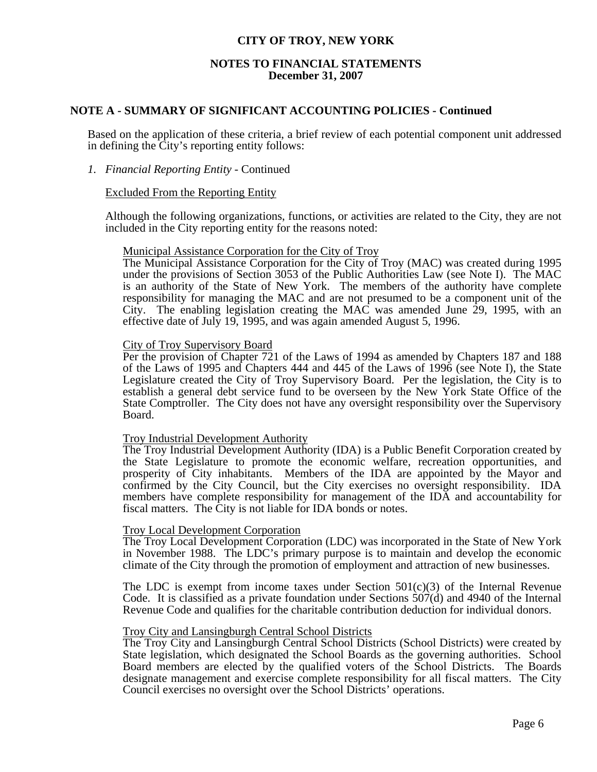### **NOTES TO FINANCIAL STATEMENTS December 31, 2007**

### **NOTE A - SUMMARY OF SIGNIFICANT ACCOUNTING POLICIES - Continued**

 Based on the application of these criteria, a brief review of each potential component unit addressed in defining the City's reporting entity follows:

### *1. Financial Reporting Entity* - Continued

### Excluded From the Reporting Entity

 Although the following organizations, functions, or activities are related to the City, they are not included in the City reporting entity for the reasons noted:

#### Municipal Assistance Corporation for the City of Troy

 The Municipal Assistance Corporation for the City of Troy (MAC) was created during 1995 under the provisions of Section 3053 of the Public Authorities Law (see Note I). The MAC is an authority of the State of New York. The members of the authority have complete responsibility for managing the MAC and are not presumed to be a component unit of the City. The enabling legislation creating the MAC was amended June 29, 1995, with an effective date of July 19, 1995, and was again amended August 5, 1996.

### City of Troy Supervisory Board

 Per the provision of Chapter 721 of the Laws of 1994 as amended by Chapters 187 and 188 of the Laws of 1995 and Chapters 444 and 445 of the Laws of 1996 (see Note I), the State Legislature created the City of Troy Supervisory Board. Per the legislation, the City is to establish a general debt service fund to be overseen by the New York State Office of the State Comptroller. The City does not have any oversight responsibility over the Supervisory Board.

#### Troy Industrial Development Authority

 The Troy Industrial Development Authority (IDA) is a Public Benefit Corporation created by the State Legislature to promote the economic welfare, recreation opportunities, and prosperity of City inhabitants. Members of the IDA are appointed by the Mayor and confirmed by the City Council, but the City exercises no oversight responsibility. IDA members have complete responsibility for management of the IDA and accountability for fiscal matters. The City is not liable for IDA bonds or notes.

### Troy Local Development Corporation

 The Troy Local Development Corporation (LDC) was incorporated in the State of New York in November 1988. The LDC's primary purpose is to maintain and develop the economic climate of the City through the promotion of employment and attraction of new businesses.

The LDC is exempt from income taxes under Section  $501(c)(3)$  of the Internal Revenue Code. It is classified as a private foundation under Sections 507(d) and 4940 of the Internal Revenue Code and qualifies for the charitable contribution deduction for individual donors.

#### Troy City and Lansingburgh Central School Districts

 The Troy City and Lansingburgh Central School Districts (School Districts) were created by State legislation, which designated the School Boards as the governing authorities. School Board members are elected by the qualified voters of the School Districts. The Boards designate management and exercise complete responsibility for all fiscal matters. The City Council exercises no oversight over the School Districts' operations.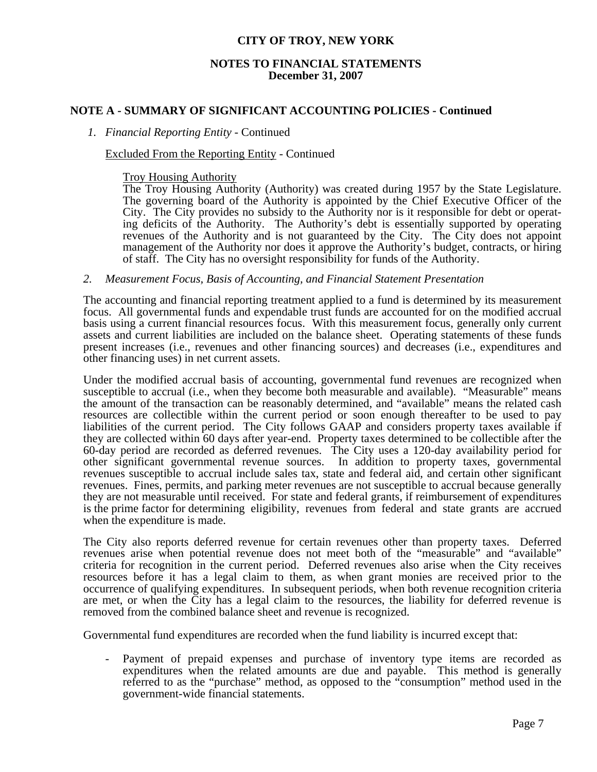### **NOTES TO FINANCIAL STATEMENTS December 31, 2007**

### **NOTE A - SUMMARY OF SIGNIFICANT ACCOUNTING POLICIES - Continued**

### *1. Financial Reporting Entity* - Continued

### Excluded From the Reporting Entity - Continued

Troy Housing Authority

 The Troy Housing Authority (Authority) was created during 1957 by the State Legislature. The governing board of the Authority is appointed by the Chief Executive Officer of the City. The City provides no subsidy to the Authority nor is it responsible for debt or operating deficits of the Authority. The Authority's debt is essentially supported by operating revenues of the Authority and is not guaranteed by the City. The City does not appoint management of the Authority nor does it approve the Authority's budget, contracts, or hiring of staff. The City has no oversight responsibility for funds of the Authority.

#### *2. Measurement Focus, Basis of Accounting, and Financial Statement Presentation*

 The accounting and financial reporting treatment applied to a fund is determined by its measurement focus. All governmental funds and expendable trust funds are accounted for on the modified accrual basis using a current financial resources focus. With this measurement focus, generally only current assets and current liabilities are included on the balance sheet. Operating statements of these funds present increases (i.e., revenues and other financing sources) and decreases (i.e., expenditures and other financing uses) in net current assets. Under the modified accrual basis of accounting, governmental fund revenues are recognized when

susceptible to accrual (i.e., when they become both measurable and available). "Measurable" means the amount of the transaction can be reasonably determined, and "available" means the related cash resources are collectible within the current period or soon enough thereafter to be used to pay liabilities of the current period. The City follows GAAP and considers property taxes available if they are collected within 60 days after year-end. Property taxes determined to be collectible after the 60-day period are recorded as deferred revenues. The City uses a 120-day availability period for other significant governmental revenue sources. In addition to property taxes, governmental revenues susceptible to accrual include sales tax, state and federal aid, and certain other significant revenues. Fines, permits, and parking meter revenues are not susceptible to accrual because generally they are not measurable until received. For state and federal grants, if reimbursement of expenditures is the prime factor for determining eligibility, revenues from federal and state grants are accrued when the expenditure is made.

 The City also reports deferred revenue for certain revenues other than property taxes. Deferred revenues arise when potential revenue does not meet both of the "measurable" and "available" criteria for recognition in the current period. Deferred revenues also arise when the City receives resources before it has a legal claim to them, as when grant monies are received prior to the occurrence of qualifying expenditures. In subsequent periods, when both revenue recognition criteria are met, or when the City has a legal claim to the resources, the liability for deferred revenue is removed from the combined balance sheet and revenue is recognized.

Governmental fund expenditures are recorded when the fund liability is incurred except that:

Payment of prepaid expenses and purchase of inventory type items are recorded as expenditures when the related amounts are due and payable. This method is generally referred to as the "purchase" method, as opposed to the "consumption" method used in the government-wide financial statements.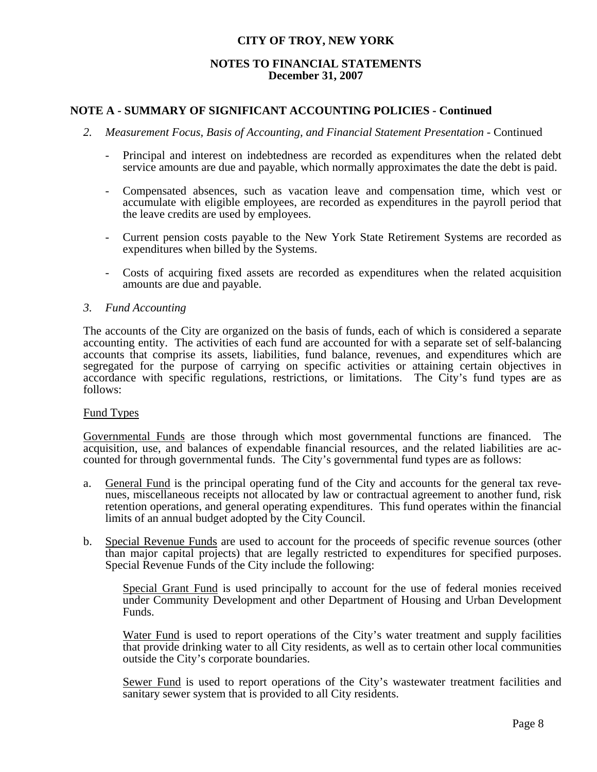### **NOTES TO FINANCIAL STATEMENTS December 31, 2007**

### **NOTE A - SUMMARY OF SIGNIFICANT ACCOUNTING POLICIES - Continued**

- *2. Measurement Focus, Basis of Accounting, and Financial Statement Presentation* Continued
	- Principal and interest on indebtedness are recorded as expenditures when the related debt service amounts are due and payable, which normally approximates the date the debt is paid.
	- Compensated absences, such as vacation leave and compensation time, which vest or accumulate with eligible employees, are recorded as expenditures in the payroll period that the leave credits are used by employees.
	- Current pension costs payable to the New York State Retirement Systems are recorded as expenditures when billed by the Systems.
	- Costs of acquiring fixed assets are recorded as expenditures when the related acquisition amounts are due and payable.

### *3. Fund Accounting*

 The accounts of the City are organized on the basis of funds, each of which is considered a separate accounting entity. The activities of each fund are accounted for with a separate set of self-balancing accounts that comprise its assets, liabilities, fund balance, revenues, and expenditures which are segregated for the purpose of carrying on specific activities or attaining certain objectives in accordance with specific regulations, restrictions, or limitations. The City's fund types are as follows:

### Fund Types

 Governmental Funds are those through which most governmental functions are financed. The acquisition, use, and balances of expendable financial resources, and the related liabilities are accounted for through governmental funds. The City's governmental fund types are as follows:

- a. General Fund is the principal operating fund of the City and accounts for the general tax revenues, miscellaneous receipts not allocated by law or contractual agreement to another fund, risk retention operations, and general operating expenditures. This fund operates within the financial limits of an annual budget adopted by the City Council.
- b. Special Revenue Funds are used to account for the proceeds of specific revenue sources (other than major capital projects) that are legally restricted to expenditures for specified purposes. Special Revenue Funds of the City include the following:

 Special Grant Fund is used principally to account for the use of federal monies received under Community Development and other Department of Housing and Urban Development Funds.

 Water Fund is used to report operations of the City's water treatment and supply facilities that provide drinking water to all City residents, as well as to certain other local communities outside the City's corporate boundaries.

Sewer Fund is used to report operations of the City's wastewater treatment facilities and sanitary sewer system that is provided to all City residents.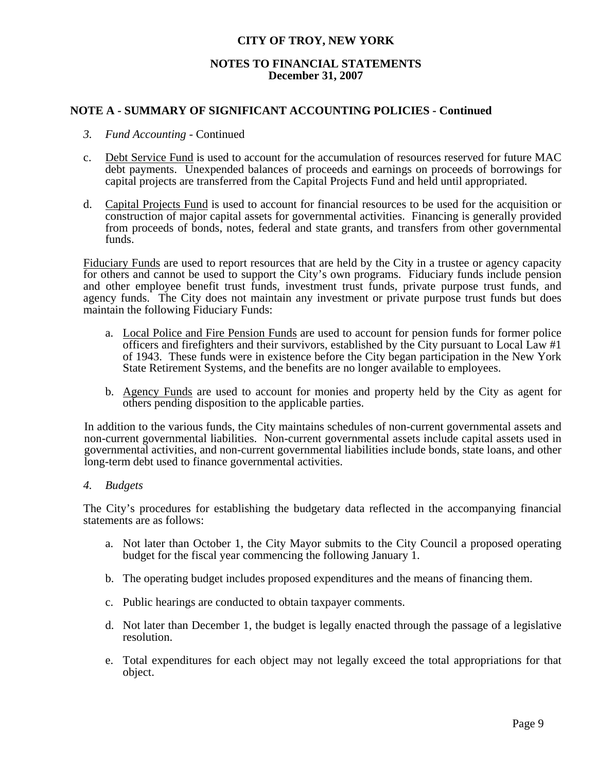### **NOTES TO FINANCIAL STATEMENTS December 31, 2007**

### **NOTE A - SUMMARY OF SIGNIFICANT ACCOUNTING POLICIES - Continued**

- *3. Fund Accounting* Continued
- c. Debt Service Fund is used to account for the accumulation of resources reserved for future MAC debt payments. Unexpended balances of proceeds and earnings on proceeds of borrowings for capital projects are transferred from the Capital Projects Fund and held until appropriated.
- d. Capital Projects Fund is used to account for financial resources to be used for the acquisition or construction of major capital assets for governmental activities. Financing is generally provided from proceeds of bonds, notes, federal and state grants, and transfers from other governmental funds.

Fiduciary Funds are used to report resources that are held by the City in a trustee or agency capacity for others and cannot be used to support the City's own programs. Fiduciary funds include pension and other employee benefit trust funds, investment trust funds, private purpose trust funds, and agency funds. The City does not maintain any investment or private purpose trust funds but does maintain the following Fiduciary Funds:

- a. Local Police and Fire Pension Funds are used to account for pension funds for former police officers and firefighters and their survivors, established by the City pursuant to Local Law #1 of 1943. These funds were in existence before the City began participation in the New York State Retirement Systems, and the benefits are no longer available to employees.
- b. Agency Funds are used to account for monies and property held by the City as agent for others pending disposition to the applicable parties.

 In addition to the various funds, the City maintains schedules of non-current governmental assets and non-current governmental liabilities. Non-current governmental assets include capital assets used in governmental activities, and non-current governmental liabilities include bonds, state loans, and other long-term debt used to finance governmental activities.

*4. Budgets*

 The City's procedures for establishing the budgetary data reflected in the accompanying financial statements are as follows:

- a. Not later than October 1, the City Mayor submits to the City Council a proposed operating budget for the fiscal year commencing the following January 1.
- b. The operating budget includes proposed expenditures and the means of financing them.
- c. Public hearings are conducted to obtain taxpayer comments.
- d. Not later than December 1, the budget is legally enacted through the passage of a legislative resolution.
- e. Total expenditures for each object may not legally exceed the total appropriations for that object.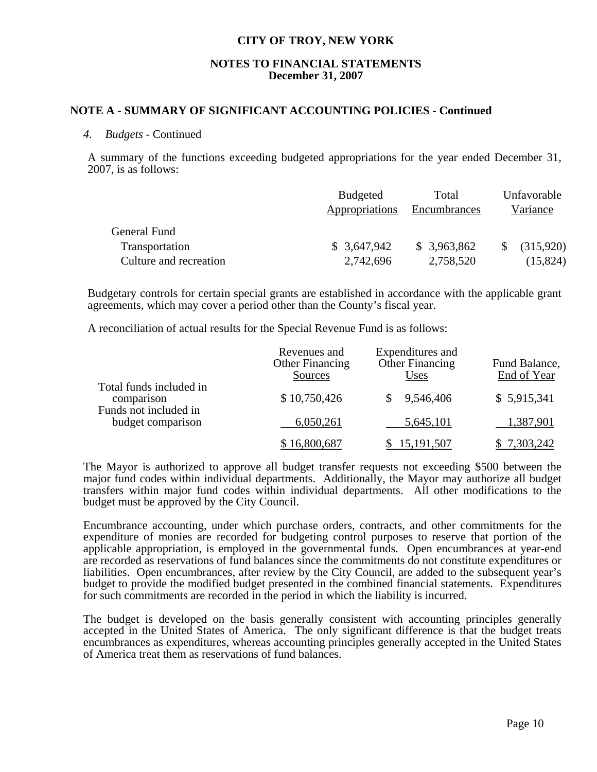### **NOTES TO FINANCIAL STATEMENTS December 31, 2007**

### **NOTE A - SUMMARY OF SIGNIFICANT ACCOUNTING POLICIES - Continued**

#### *4. Budgets -* Continued

 A summary of the functions exceeding budgeted appropriations for the year ended December 31, 2007, is as follows:

|                        | <b>Budgeted</b> | Total        | Unfavorable |
|------------------------|-----------------|--------------|-------------|
|                        | Appropriations  | Encumbrances | Variance    |
| General Fund           |                 |              |             |
| Transportation         | \$3,647,942     | \$3,963,862  | (315,920)   |
| Culture and recreation | 2,742,696       | 2,758,520    | (15, 824)   |

Budgetary controls for certain special grants are established in accordance with the applicable grant agreements, which may cover a period other than the County's fiscal year.

A reconciliation of actual results for the Special Revenue Fund is as follows:

|                                                                | Revenues and<br><b>Other Financing</b><br>Sources | Expenditures and<br><b>Other Financing</b><br><u>Uses</u> | Fund Balance,<br>End of Year |
|----------------------------------------------------------------|---------------------------------------------------|-----------------------------------------------------------|------------------------------|
| Total funds included in<br>comparison<br>Funds not included in | \$10,750,426                                      | 9,546,406                                                 | \$5,915,341                  |
| budget comparison                                              | 6,050,261                                         | 5,645,101                                                 | 1,387,901                    |
|                                                                | \$16,800,687                                      | 15,191,507                                                | 7,303,242                    |

 The Mayor is authorized to approve all budget transfer requests not exceeding \$500 between the major fund codes within individual departments. Additionally, the Mayor may authorize all budget transfers within major fund codes within individual departments. All other modifications to the budget must be approved by the City Council.

 Encumbrance accounting, under which purchase orders, contracts, and other commitments for the expenditure of monies are recorded for budgeting control purposes to reserve that portion of the applicable appropriation, is employed in the governmental funds. Open encumbrances at year-end are recorded as reservations of fund balances since the commitments do not constitute expenditures or liabilities. Open encumbrances, after review by the City Council, are added to the subsequent year's budget to provide the modified budget presented in the combined financial statements. Expenditures for such commitments are recorded in the period in which the liability is incurred.

 The budget is developed on the basis generally consistent with accounting principles generally accepted in the United States of America. The only significant difference is that the budget treats encumbrances as expenditures, whereas accounting principles generally accepted in the United States of America treat them as reservations of fund balances.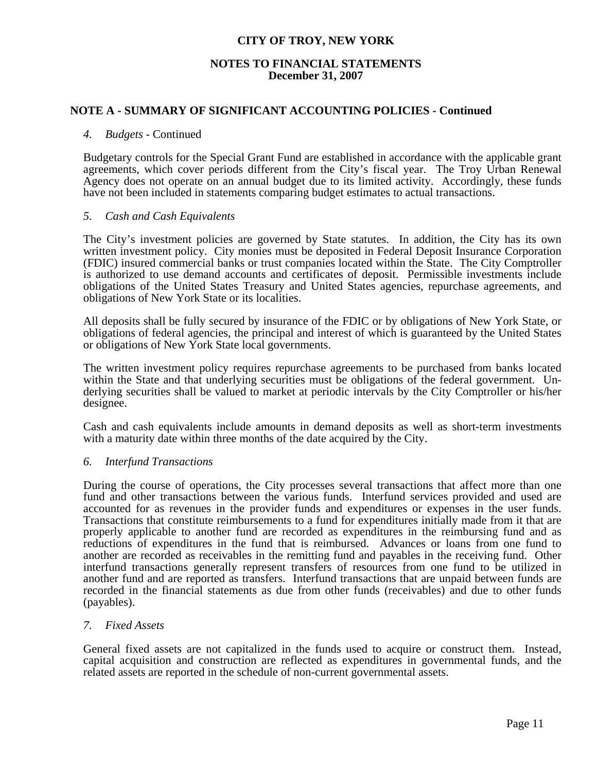### **NOTES TO FINANCIAL STATEMENTS December 31, 2007**

### **NOTE A - SUMMARY OF SIGNIFICANT ACCOUNTING POLICIES - Continued**

### *4. Budgets -* Continued

 Budgetary controls for the Special Grant Fund are established in accordance with the applicable grant agreements, which cover periods different from the City's fiscal year. The Troy Urban Renewal Agency does not operate on an annual budget due to its limited activity. Accordingly, these funds have not been included in statements comparing budget estimates to actual transactions.

### *5. Cash and Cash Equivalents*

 The City's investment policies are governed by State statutes. In addition, the City has its own written investment policy. City monies must be deposited in Federal Deposit Insurance Corporation (FDIC) insured commercial banks or trust companies located within the State. The City Comptroller is authorized to use demand accounts and certificates of deposit. Permissible investments include obligations of the United States Treasury and United States agencies, repurchase agreements, and obligations of New York State or its localities.

 All deposits shall be fully secured by insurance of the FDIC or by obligations of New York State, or obligations of federal agencies, the principal and interest of which is guaranteed by the United States or obligations of New York State local governments.

 The written investment policy requires repurchase agreements to be purchased from banks located within the State and that underlying securities must be obligations of the federal government. Underlying securities shall be valued to market at periodic intervals by the City Comptroller or his/her designee.

 Cash and cash equivalents include amounts in demand deposits as well as short-term investments with a maturity date within three months of the date acquired by the City.

#### *6. Interfund Transactions*

 During the course of operations, the City processes several transactions that affect more than one fund and other transactions between the various funds. Interfund services provided and used are accounted for as revenues in the provider funds and expenditures or expenses in the user funds. Transactions that constitute reimbursements to a fund for expenditures initially made from it that are properly applicable to another fund are recorded as expenditures in the reimbursing fund and as reductions of expenditures in the fund that is reimbursed. Advances or loans from one fund to another are recorded as receivables in the remitting fund and payables in the receiving fund. Other interfund transactions generally represent transfers of resources from one fund to be utilized in another fund and are reported as transfers. Interfund transactions that are unpaid between funds are recorded in the financial statements as due from other funds (receivables) and due to other funds (payables).

### *7. Fixed Assets*

 General fixed assets are not capitalized in the funds used to acquire or construct them. Instead, capital acquisition and construction are reflected as expenditures in governmental funds, and the related assets are reported in the schedule of non-current governmental assets.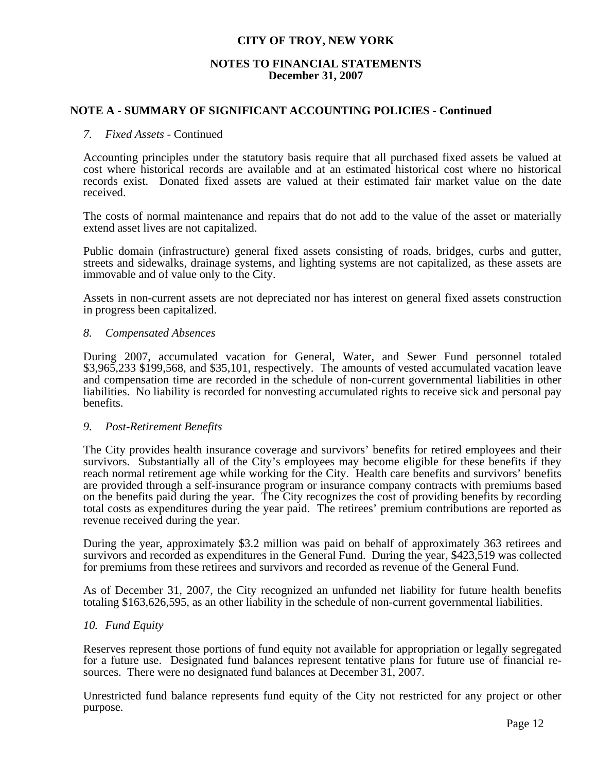### **NOTES TO FINANCIAL STATEMENTS December 31, 2007**

### **NOTE A - SUMMARY OF SIGNIFICANT ACCOUNTING POLICIES - Continued**

#### *7. Fixed Assets* - Continued

 Accounting principles under the statutory basis require that all purchased fixed assets be valued at cost where historical records are available and at an estimated historical cost where no historical records exist. Donated fixed assets are valued at their estimated fair market value on the date received.

 The costs of normal maintenance and repairs that do not add to the value of the asset or materially extend asset lives are not capitalized.

 Public domain (infrastructure) general fixed assets consisting of roads, bridges, curbs and gutter, streets and sidewalks, drainage systems, and lighting systems are not capitalized, as these assets are immovable and of value only to the City.

 Assets in non-current assets are not depreciated nor has interest on general fixed assets construction in progress been capitalized.

### *8. Compensated Absences*

 During 2007, accumulated vacation for General, Water, and Sewer Fund personnel totaled \$3,965,233 \$199,568, and \$35,101, respectively. The amounts of vested accumulated vacation leave and compensation time are recorded in the schedule of non-current governmental liabilities in other liabilities. No liability is recorded for nonvesting accumulated rights to receive sick and personal pay benefits.

#### *9. Post-Retirement Benefits*

 The City provides health insurance coverage and survivors' benefits for retired employees and their survivors. Substantially all of the City's employees may become eligible for these benefits if they reach normal retirement age while working for the City. Health care benefits and survivors' benefits are provided through a self-insurance program or insurance company contracts with premiums based on the benefits paid during the year. The City recognizes the cost of providing benefits by recording total costs as expenditures during the year paid. The retirees' premium contributions are reported as revenue received during the year.

 During the year, approximately \$3.2 million was paid on behalf of approximately 363 retirees and survivors and recorded as expenditures in the General Fund. During the year, \$423,519 was collected for premiums from these retirees and survivors and recorded as revenue of the General Fund.

 As of December 31, 2007, the City recognized an unfunded net liability for future health benefits totaling \$163,626,595, as an other liability in the schedule of non-current governmental liabilities.

### *10. Fund Equity*

 Reserves represent those portions of fund equity not available for appropriation or legally segregated for a future use. Designated fund balances represent tentative plans for future use of financial resources. There were no designated fund balances at December 31, 2007.

 Unrestricted fund balance represents fund equity of the City not restricted for any project or other purpose.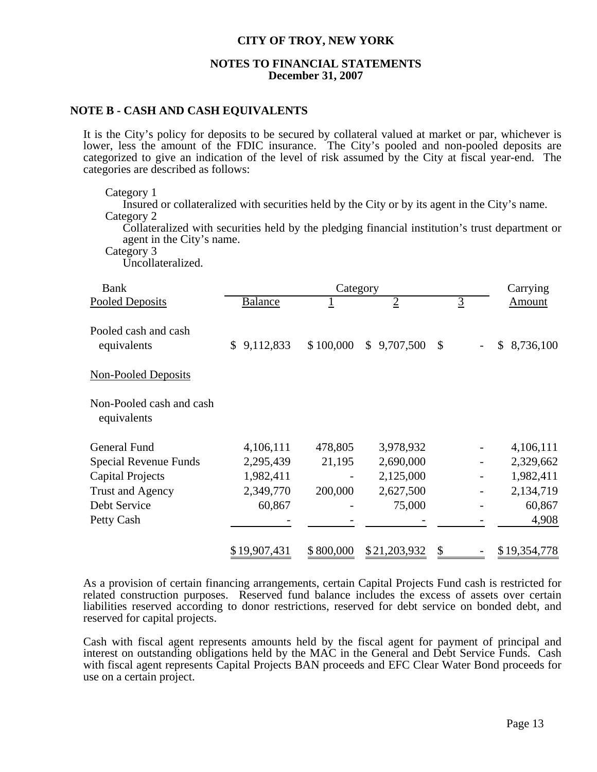### **NOTES TO FINANCIAL STATEMENTS December 31, 2007**

### **NOTE B - CASH AND CASH EQUIVALENTS**

 It is the City's policy for deposits to be secured by collateral valued at market or par, whichever is lower, less the amount of the FDIC insurance. The City's pooled and non-pooled deposits are categorized to give an indication of the level of risk assumed by the City at fiscal year-end. The categories are described as follows:

Category 1

 Insured or collateralized with securities held by the City or by its agent in the City's name. Category 2

 Collateralized with securities held by the pledging financial institution's trust department or agent in the City's name.

Category 3

Uncollateralized.

| <b>Bank</b>                             |                             | Category  |                |                | Carrying     |
|-----------------------------------------|-----------------------------|-----------|----------------|----------------|--------------|
| <b>Pooled Deposits</b>                  | Balance                     | ┸         | $\overline{2}$ | $\overline{3}$ | Amount       |
| Pooled cash and cash<br>equivalents     | 9,112,833<br>$\mathbb{S}^-$ | \$100,000 | \$9,707,500    | $\mathbb{S}$   | \$8,736,100  |
| <b>Non-Pooled Deposits</b>              |                             |           |                |                |              |
| Non-Pooled cash and cash<br>equivalents |                             |           |                |                |              |
| <b>General Fund</b>                     | 4,106,111                   | 478,805   | 3,978,932      |                | 4,106,111    |
| Special Revenue Funds                   | 2,295,439                   | 21,195    | 2,690,000      |                | 2,329,662    |
| <b>Capital Projects</b>                 | 1,982,411                   |           | 2,125,000      |                | 1,982,411    |
| <b>Trust and Agency</b>                 | 2,349,770                   | 200,000   | 2,627,500      |                | 2,134,719    |
| Debt Service                            | 60,867                      |           | 75,000         |                | 60,867       |
| Petty Cash                              |                             |           |                |                | 4,908        |
|                                         | \$19,907,431                | \$800,000 | \$21,203,932   | \$             | \$19,354,778 |

 As a provision of certain financing arrangements, certain Capital Projects Fund cash is restricted for related construction purposes. Reserved fund balance includes the excess of assets over certain liabilities reserved according to donor restrictions, reserved for debt service on bonded debt, and reserved for capital projects.

 Cash with fiscal agent represents amounts held by the fiscal agent for payment of principal and interest on outstanding obligations held by the MAC in the General and Debt Service Funds. Cash with fiscal agent represents Capital Projects BAN proceeds and EFC Clear Water Bond proceeds for use on a certain project.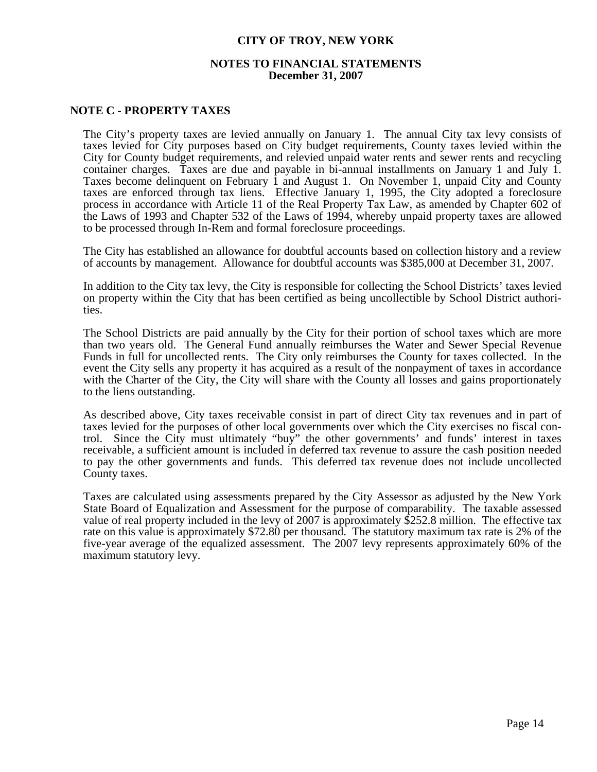### **NOTES TO FINANCIAL STATEMENTS December 31, 2007**

### **NOTE C - PROPERTY TAXES**

 The City's property taxes are levied annually on January 1. The annual City tax levy consists of taxes levied for City purposes based on City budget requirements, County taxes levied within the City for County budget requirements, and relevied unpaid water rents and sewer rents and recycling container charges. Taxes are due and payable in bi-annual installments on January 1 and July 1. Taxes become delinquent on February 1 and August 1. On November 1, unpaid City and County taxes are enforced through tax liens. Effective January 1, 1995, the City adopted a foreclosure process in accordance with Article 11 of the Real Property Tax Law, as amended by Chapter 602 of the Laws of 1993 and Chapter 532 of the Laws of 1994, whereby unpaid property taxes are allowed to be processed through In-Rem and formal foreclosure proceedings.

 The City has established an allowance for doubtful accounts based on collection history and a review of accounts by management. Allowance for doubtful accounts was \$385,000 at December 31, 2007.

 In addition to the City tax levy, the City is responsible for collecting the School Districts' taxes levied on property within the City that has been certified as being uncollectible by School District authorities.

 The School Districts are paid annually by the City for their portion of school taxes which are more than two years old. The General Fund annually reimburses the Water and Sewer Special Revenue Funds in full for uncollected rents. The City only reimburses the County for taxes collected. In the event the City sells any property it has acquired as a result of the nonpayment of taxes in accordance with the Charter of the City, the City will share with the County all losses and gains proportionately to the liens outstanding.

 As described above, City taxes receivable consist in part of direct City tax revenues and in part of taxes levied for the purposes of other local governments over which the City exercises no fiscal control. Since the City must ultimately "buy" the other governments' and funds' interest in taxes receivable, a sufficient amount is included in deferred tax revenue to assure the cash position needed to pay the other governments and funds. This deferred tax revenue does not include uncollected County taxes.

 Taxes are calculated using assessments prepared by the City Assessor as adjusted by the New York State Board of Equalization and Assessment for the purpose of comparability. The taxable assessed value of real property included in the levy of 2007 is approximately \$252.8 million. The effective tax rate on this value is approximately \$72.80 per thousand. The statutory maximum tax rate is 2% of the five-year average of the equalized assessment. The 2007 levy represents approximately 60% of the maximum statutory levy.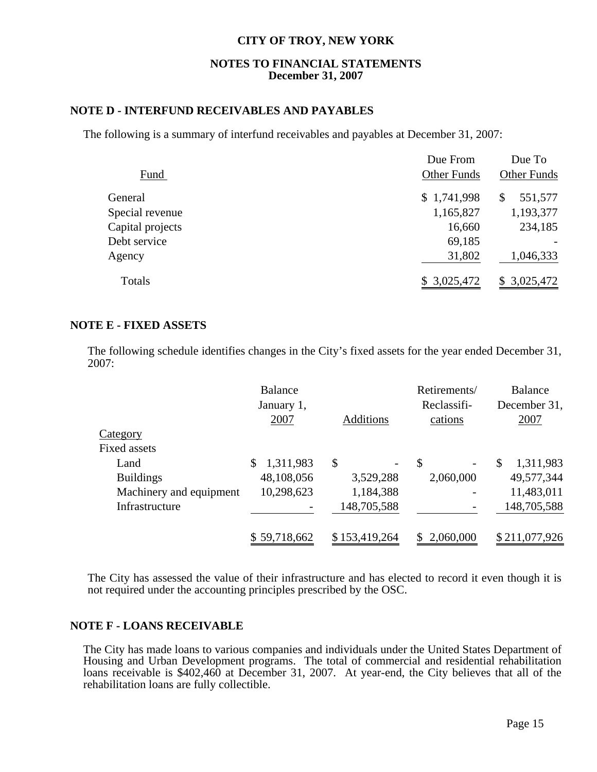### **NOTES TO FINANCIAL STATEMENTS December 31, 2007**

### **NOTE D - INTERFUND RECEIVABLES AND PAYABLES**

The following is a summary of interfund receivables and payables at December 31, 2007:

|                  | Due From           | Due To             |
|------------------|--------------------|--------------------|
| Fund             | <b>Other Funds</b> | <b>Other Funds</b> |
| General          | \$1,741,998        | 551,577<br>S       |
| Special revenue  | 1,165,827          | 1,193,377          |
| Capital projects | 16,660             | 234,185            |
| Debt service     | 69,185             |                    |
| Agency           | 31,802             | 1,046,333          |
| Totals           | \$3,025,472        | \$3,025,472        |

### **NOTE E - FIXED ASSETS**

The following schedule identifies changes in the City's fixed assets for the year ended December 31, 2007:

|                         | <b>Balance</b><br>January 1,<br>2007 | <b>Additions</b> | Retirements/<br>Reclassifi-<br>cations | <b>Balance</b><br>December 31,<br>2007 |
|-------------------------|--------------------------------------|------------------|----------------------------------------|----------------------------------------|
| <b>Category</b>         |                                      |                  |                                        |                                        |
| <b>Fixed assets</b>     |                                      |                  |                                        |                                        |
| Land                    | 1,311,983                            | \$               | \$<br>$\qquad \qquad -$                | 1,311,983<br>\$                        |
| <b>Buildings</b>        | 48,108,056                           | 3,529,288        | 2,060,000                              | 49,577,344                             |
| Machinery and equipment | 10,298,623                           | 1,184,388        |                                        | 11,483,011                             |
| Infrastructure          |                                      | 148,705,588      |                                        | 148,705,588                            |
|                         | \$59,718,662                         | \$153,419,264    | 2,060,000                              | \$211,077,926                          |

The City has assessed the value of their infrastructure and has elected to record it even though it is not required under the accounting principles prescribed by the OSC.

### **NOTE F - LOANS RECEIVABLE**

 The City has made loans to various companies and individuals under the United States Department of Housing and Urban Development programs. The total of commercial and residential rehabilitation loans receivable is \$402,460 at December 31, 2007. At year-end, the City believes that all of the rehabilitation loans are fully collectible.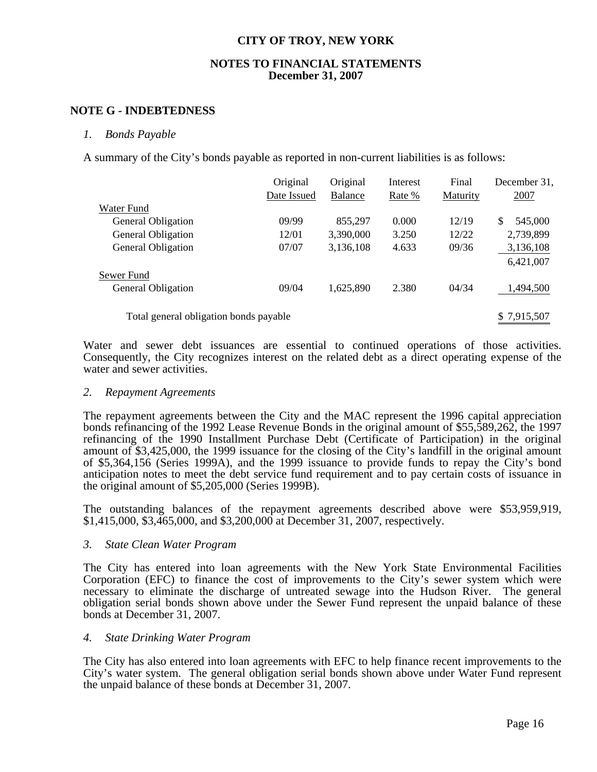### **NOTES TO FINANCIAL STATEMENTS December 31, 2007**

### **NOTE G - INDEBTEDNESS**

### *1. Bonds Payable*

A summary of the City's bonds payable as reported in non-current liabilities is as follows:

|                                        | Original    | Original       | Interest | Final    | December 31,  |
|----------------------------------------|-------------|----------------|----------|----------|---------------|
|                                        | Date Issued | <b>Balance</b> | Rate %   | Maturity | 2007          |
| Water Fund                             |             |                |          |          |               |
| <b>General Obligation</b>              | 09/99       | 855,297        | 0.000    | 12/19    | \$<br>545,000 |
| <b>General Obligation</b>              | 12/01       | 3,390,000      | 3.250    | 12/22    | 2,739,899     |
| <b>General Obligation</b>              | 07/07       | 3,136,108      | 4.633    | 09/36    | 3,136,108     |
|                                        |             |                |          |          | 6,421,007     |
| Sewer Fund                             |             |                |          |          |               |
| General Obligation                     | 09/04       | 1,625,890      | 2.380    | 04/34    | 1,494,500     |
| Total general obligation bonds payable |             |                |          |          | \$7,915,507   |

Water and sewer debt issuances are essential to continued operations of those activities. Consequently, the City recognizes interest on the related debt as a direct operating expense of the water and sewer activities.

### *2. Repayment Agreements*

The repayment agreements between the City and the MAC represent the 1996 capital appreciation bonds refinancing of the 1992 Lease Revenue Bonds in the original amount of \$55,589,262, the 1997 refinancing of the 1990 Installment Purchase Debt (Certificate of Participation) in the original amount of \$3,425,000, the 1999 issuance for the closing of the City's landfill in the original amount of \$5,364,156 (Series 1999A), and the 1999 issuance to provide funds to repay the City's bond anticipation notes to meet the debt service fund requirement and to pay certain costs of issuance in the original amount of \$5,205,000 (Series 1999B).

 The outstanding balances of the repayment agreements described above were \$53,959,919, \$1,415,000, \$3,465,000, and \$3,200,000 at December 31, 2007, respectively.

### *3. State Clean Water Program*

The City has entered into loan agreements with the New York State Environmental Facilities Corporation (EFC) to finance the cost of improvements to the City's sewer system which were necessary to eliminate the discharge of untreated sewage into the Hudson River. The general obligation serial bonds shown above under the Sewer Fund represent the unpaid balance of these bonds at December 31, 2007.

### *4. State Drinking Water Program*

The City has also entered into loan agreements with EFC to help finance recent improvements to the City's water system. The general obligation serial bonds shown above under Water Fund represent the unpaid balance of these bonds at December 31, 2007.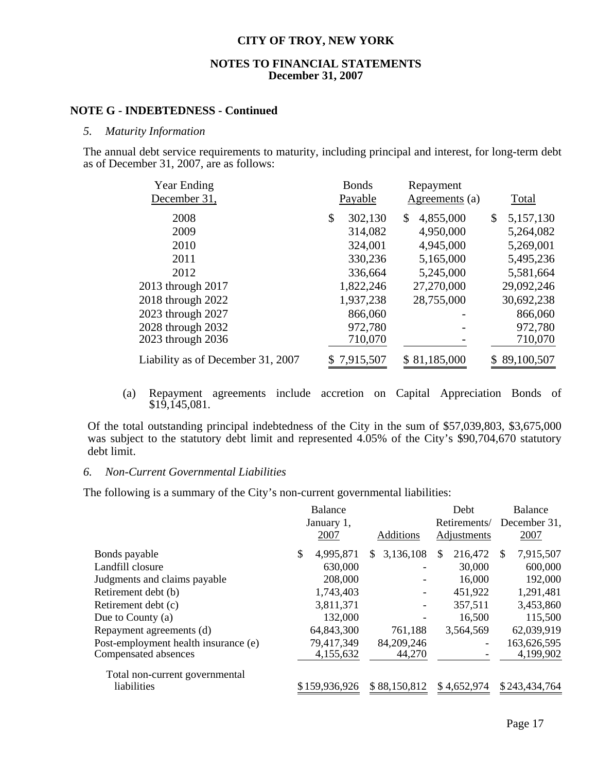### **NOTES TO FINANCIAL STATEMENTS December 31, 2007**

### **NOTE G - INDEBTEDNESS - Continued**

#### *5. Maturity Information*

The annual debt service requirements to maturity, including principal and interest, for long-term debt as of December 31, 2007, are as follows:

| <b>Year Ending</b><br>December 31, | <b>Bonds</b><br>Payable | Repayment<br>Agreements (a) | Total           |
|------------------------------------|-------------------------|-----------------------------|-----------------|
| 2008                               | \$<br>302,130           | 4,855,000<br>\$             | \$<br>5,157,130 |
| 2009                               | 314,082                 | 4,950,000                   | 5,264,082       |
| 2010                               | 324,001                 | 4,945,000                   | 5,269,001       |
| 2011                               | 330,236                 | 5,165,000                   | 5,495,236       |
| 2012                               | 336,664                 | 5,245,000                   | 5,581,664       |
| 2013 through 2017                  | 1,822,246               | 27,270,000                  | 29,092,246      |
| 2018 through 2022                  | 1,937,238               | 28,755,000                  | 30,692,238      |
| 2023 through 2027                  | 866,060                 |                             | 866,060         |
| 2028 through 2032                  | 972,780                 |                             | 972,780         |
| 2023 through 2036                  | 710,070                 |                             | 710,070         |
| Liability as of December 31, 2007  | 7,915,507               | \$81,185,000                | \$89,100,507    |

(a) Repayment agreements include accretion on Capital Appreciation Bonds of \$19,145,081.

Of the total outstanding principal indebtedness of the City in the sum of \$57,039,803, \$3,675,000 was subject to the statutory debt limit and represented 4.05% of the City's \$90,704,670 statutory debt limit.

### *6. Non-Current Governmental Liabilities*

The following is a summary of the City's non-current governmental liabilities:

|                                      | Balance    |               |                  | Debt           |              | <b>Balance</b> |  |
|--------------------------------------|------------|---------------|------------------|----------------|--------------|----------------|--|
|                                      | January 1, |               | Retirements/     |                | December 31, |                |  |
|                                      |            | 2007          | Additions        | Adjustments    |              | 2007           |  |
| Bonds payable                        | \$.        | 4,995,871     | 3,136,108<br>\$. | \$.<br>216,472 | S            | 7,915,507      |  |
| Landfill closure                     |            | 630,000       |                  | 30,000         |              | 600,000        |  |
| Judgments and claims payable         |            | 208,000       |                  | 16,000         |              | 192,000        |  |
| Retirement debt (b)                  |            | 1,743,403     |                  | 451,922        |              | 1,291,481      |  |
| Retirement debt (c)                  |            | 3,811,371     |                  | 357,511        |              | 3,453,860      |  |
| Due to County $(a)$                  |            | 132,000       |                  | 16,500         |              | 115,500        |  |
| Repayment agreements (d)             |            | 64,843,300    | 761,188          | 3,564,569      |              | 62,039,919     |  |
| Post-employment health insurance (e) |            | 79,417,349    | 84,209,246       |                |              | 163,626,595    |  |
| Compensated absences                 |            | 4,155,632     | 44,270           |                |              | 4,199,902      |  |
| Total non-current governmental       |            |               |                  |                |              |                |  |
| liabilities                          |            | \$159,936,926 | \$88,150,812     | \$4,652,974    |              | \$243,434,764  |  |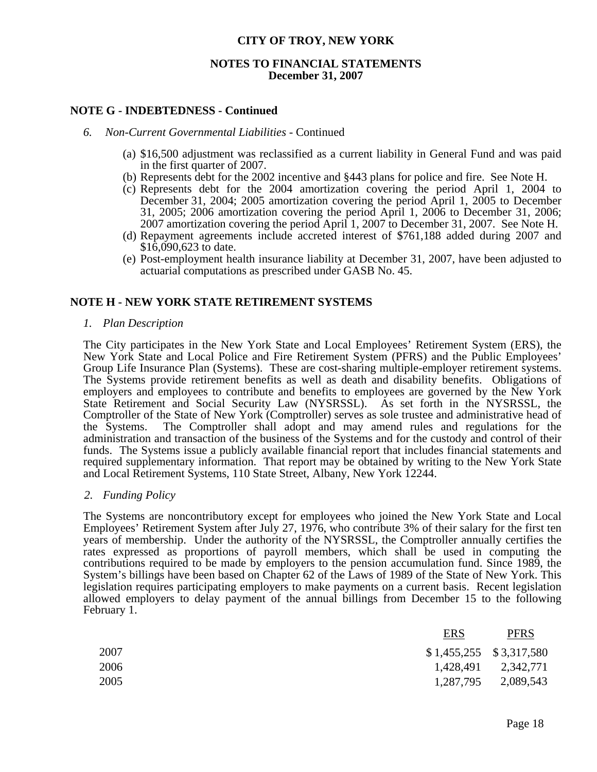### **NOTES TO FINANCIAL STATEMENTS December 31, 2007**

### **NOTE G - INDEBTEDNESS - Continued**

#### *6. Non-Current Governmental Liabilities -* Continued

- (a) \$16,500 adjustment was reclassified as a current liability in General Fund and was paid in the first quarter of 2007.
- (b) Represents debt for the 2002 incentive and §443 plans for police and fire. See Note H.
- (c) Represents debt for the 2004 amortization covering the period April 1, 2004 to December 31, 2004; 2005 amortization covering the period April 1, 2005 to December 31, 2005; 2006 amortization covering the period April 1, 2006 to December 31, 2006; 2007 amortization covering the period April 1, 2007 to December 31, 2007. See Note H.
- (d) Repayment agreements include accreted interest of \$761,188 added during 2007 and \$16,090,623 to date.
- (e) Post-employment health insurance liability at December 31, 2007, have been adjusted to actuarial computations as prescribed under GASB No. 45.

### **NOTE H - NEW YORK STATE RETIREMENT SYSTEMS**

*1. Plan Description*

 The City participates in the New York State and Local Employees' Retirement System (ERS), the New York State and Local Police and Fire Retirement System (PFRS) and the Public Employees' Group Life Insurance Plan (Systems). These are cost-sharing multiple-employer retirement systems. The Systems provide retirement benefits as well as death and disability benefits. Obligations of employers and employees to contribute and benefits to employees are governed by the New York State Retirement and Social Security Law (NYSRSSL). As set forth in the NYSRSSL, the Comptroller of the State of New York (Comptroller) serves as sole trustee and administrative head of the Systems. The Comptroller shall adopt and may amend rules and regulations for the administration and transaction of the business of the Systems and for the custody and control of their funds. The Systems issue a publicly available financial report that includes financial statements and required supplementary information. That report may be obtained by writing to the New York State and Local Retirement Systems, 110 State Street, Albany, New York 12244.

#### *2. Funding Policy*

The Systems are noncontributory except for employees who joined the New York State and Local Employees' Retirement System after July 27, 1976, who contribute 3% of their salary for the first ten years of membership. Under the authority of the NYSRSSL, the Comptroller annually certifies the rates expressed as proportions of payroll members, which shall be used in computing the contributions required to be made by employers to the pension accumulation fund. Since 1989, the System's billings have been based on Chapter 62 of the Laws of 1989 of the State of New York. This legislation requires participating employers to make payments on a current basis. Recent legislation allowed employers to delay payment of the annual billings from December 15 to the following February 1.

|      | <b>ERS</b>                | <b>PFRS</b>         |
|------|---------------------------|---------------------|
| 2007 | $$1,455,255$ $$3,317,580$ |                     |
| 2006 |                           | 1,428,491 2,342,771 |
| 2005 | 1,287,795                 | 2,089,543           |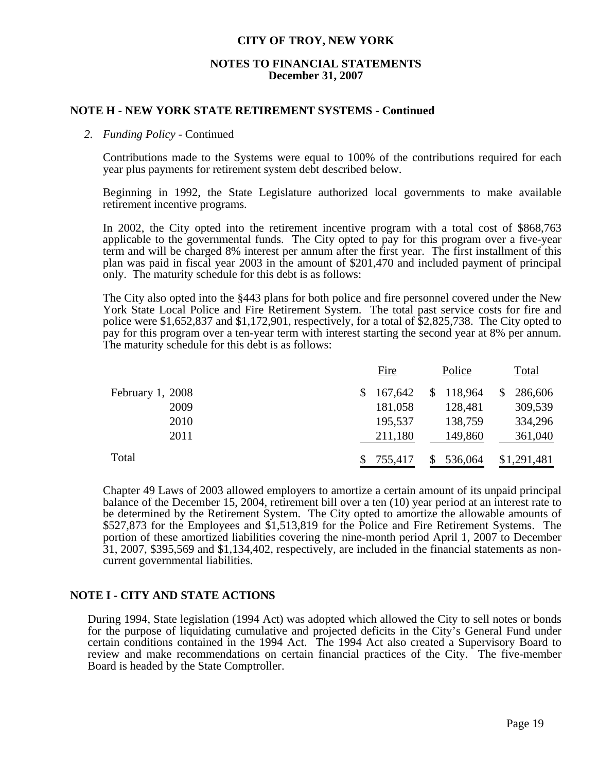### **NOTES TO FINANCIAL STATEMENTS December 31, 2007**

### **NOTE H - NEW YORK STATE RETIREMENT SYSTEMS - Continued**

### *2. Funding Policy* - Continued

 Contributions made to the Systems were equal to 100% of the contributions required for each year plus payments for retirement system debt described below.

 Beginning in 1992, the State Legislature authorized local governments to make available retirement incentive programs.

 In 2002, the City opted into the retirement incentive program with a total cost of \$868,763 applicable to the governmental funds. The City opted to pay for this program over a five-year term and will be charged 8% interest per annum after the first year. The first installment of this plan was paid in fiscal year 2003 in the amount of \$201,470 and included payment of principal only. The maturity schedule for this debt is as follows:

 The City also opted into the §443 plans for both police and fire personnel covered under the New York State Local Police and Fire Retirement System. The total past service costs for fire and police were \$1,652,837 and \$1,172,901, respectively, for a total of \$2,825,738. The City opted to pay for this program over a ten-year term with interest starting the second year at 8% per annum. The maturity schedule for this debt is as follows:

|                    | <b>Fire</b> |         | Police        | Total         |  |
|--------------------|-------------|---------|---------------|---------------|--|
| February $1, 2008$ |             | 167,642 | 118,964<br>\$ | 286,606<br>\$ |  |
| 2009               |             | 181,058 | 128,481       | 309,539       |  |
| 2010               |             | 195,537 | 138,759       | 334,296       |  |
| 2011               |             | 211,180 | 149,860       | 361,040       |  |
| Total              |             | 755,417 | 536,064       | \$1,291,481   |  |

 Chapter 49 Laws of 2003 allowed employers to amortize a certain amount of its unpaid principal balance of the December 15, 2004, retirement bill over a ten (10) year period at an interest rate to be determined by the Retirement System. The City opted to amortize the allowable amounts of \$527,873 for the Employees and \$1,513,819 for the Police and Fire Retirement Systems. The portion of these amortized liabilities covering the nine-month period April 1, 2007 to December 31, 2007, \$395,569 and \$1,134,402, respectively, are included in the financial statements as noncurrent governmental liabilities.

### **NOTE I - CITY AND STATE ACTIONS**

 During 1994, State legislation (1994 Act) was adopted which allowed the City to sell notes or bonds for the purpose of liquidating cumulative and projected deficits in the City's General Fund under certain conditions contained in the 1994 Act. The 1994 Act also created a Supervisory Board to review and make recommendations on certain financial practices of the City. The five-member Board is headed by the State Comptroller.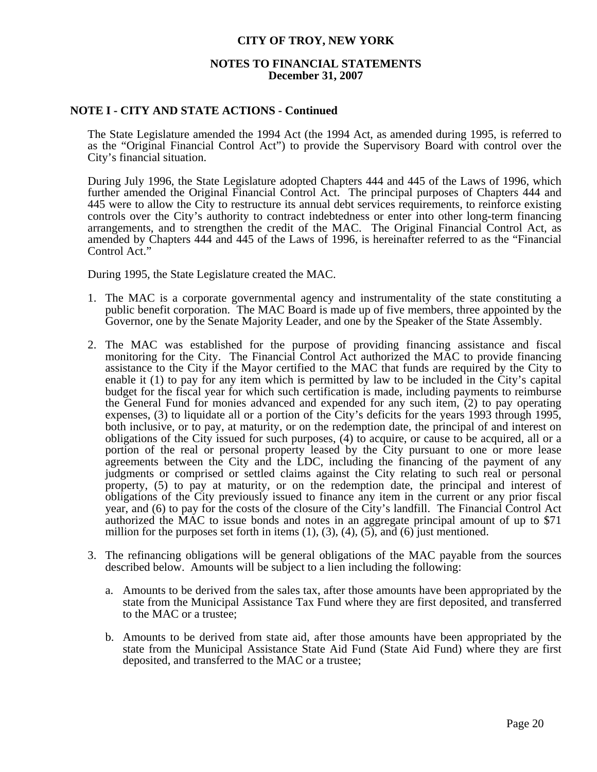### **NOTES TO FINANCIAL STATEMENTS December 31, 2007**

### **NOTE I - CITY AND STATE ACTIONS - Continued**

 The State Legislature amended the 1994 Act (the 1994 Act, as amended during 1995, is referred to as the "Original Financial Control Act") to provide the Supervisory Board with control over the City's financial situation.

 During July 1996, the State Legislature adopted Chapters 444 and 445 of the Laws of 1996, which further amended the Original Financial Control Act. The principal purposes of Chapters 444 and 445 were to allow the City to restructure its annual debt services requirements, to reinforce existing controls over the City's authority to contract indebtedness or enter into other long-term financing arrangements, and to strengthen the credit of the MAC. The Original Financial Control Act, as amended by Chapters 444 and 445 of the Laws of 1996, is hereinafter referred to as the "Financial Control Act."

During 1995, the State Legislature created the MAC.

- 1. The MAC is a corporate governmental agency and instrumentality of the state constituting a public benefit corporation. The MAC Board is made up of five members, three appointed by the Governor, one by the Senate Majority Leader, and one by the Speaker of the State Assembly.
- 2. The MAC was established for the purpose of providing financing assistance and fiscal monitoring for the City. The Financial Control Act authorized the MAC to provide financing assistance to the City if the Mayor certified to the MAC that funds are required by the City to enable it (1) to pay for any item which is permitted by law to be included in the City's capital budget for the fiscal year for which such certification is made, including payments to reimburse the General Fund for monies advanced and expended for any such item, (2) to pay operating expenses, (3) to liquidate all or a portion of the City's deficits for the years 1993 through 1995, both inclusive, or to pay, at maturity, or on the redemption date, the principal of and interest on obligations of the City issued for such purposes, (4) to acquire, or cause to be acquired, all or a portion of the real or personal property leased by the City pursuant to one or more lease agreements between the City and the LDC, including the financing of the payment of any judgments or comprised or settled claims against the City relating to such real or personal property, (5) to pay at maturity, or on the redemption date, the principal and interest of obligations of the City previously issued to finance any item in the current or any prior fiscal year, and (6) to pay for the costs of the closure of the City's landfill. The Financial Control Act authorized the MAC to issue bonds and notes in an aggregate principal amount of up to \$71 million for the purposes set forth in items  $(1)$ ,  $(3)$ ,  $(4)$ ,  $(5)$ , and  $(6)$  just mentioned.
- 3. The refinancing obligations will be general obligations of the MAC payable from the sources described below. Amounts will be subject to a lien including the following:
	- a. Amounts to be derived from the sales tax, after those amounts have been appropriated by the state from the Municipal Assistance Tax Fund where they are first deposited, and transferred to the MAC or a trustee;
	- b. Amounts to be derived from state aid, after those amounts have been appropriated by the state from the Municipal Assistance State Aid Fund (State Aid Fund) where they are first deposited, and transferred to the MAC or a trustee;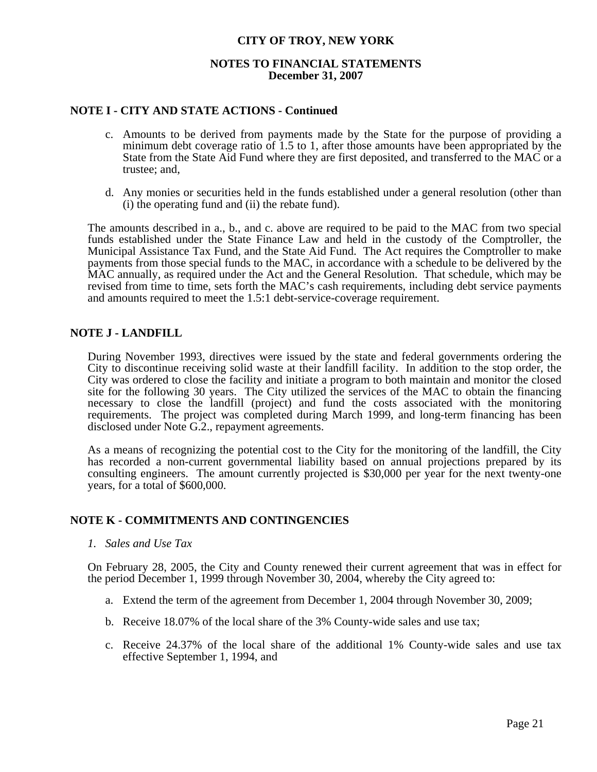### **NOTES TO FINANCIAL STATEMENTS December 31, 2007**

### **NOTE I - CITY AND STATE ACTIONS - Continued**

- c. Amounts to be derived from payments made by the State for the purpose of providing a minimum debt coverage ratio of 1.5 to 1, after those amounts have been appropriated by the State from the State Aid Fund where they are first deposited, and transferred to the MAC or a trustee; and,
- d. Any monies or securities held in the funds established under a general resolution (other than (i) the operating fund and (ii) the rebate fund).

 The amounts described in a., b., and c. above are required to be paid to the MAC from two special funds established under the State Finance Law and held in the custody of the Comptroller, the Municipal Assistance Tax Fund, and the State Aid Fund. The Act requires the Comptroller to make payments from those special funds to the MAC, in accordance with a schedule to be delivered by the MAC annually, as required under the Act and the General Resolution. That schedule, which may be revised from time to time, sets forth the MAC's cash requirements, including debt service payments and amounts required to meet the 1.5:1 debt-service-coverage requirement.

### **NOTE J - LANDFILL**

 During November 1993, directives were issued by the state and federal governments ordering the City to discontinue receiving solid waste at their landfill facility. In addition to the stop order, the City was ordered to close the facility and initiate a program to both maintain and monitor the closed site for the following 30 years. The City utilized the services of the MAC to obtain the financing necessary to close the landfill (project) and fund the costs associated with the monitoring requirements. The project was completed during March 1999, and long-term financing has been disclosed under Note G.2., repayment agreements.

 As a means of recognizing the potential cost to the City for the monitoring of the landfill, the City has recorded a non-current governmental liability based on annual projections prepared by its consulting engineers. The amount currently projected is \$30,000 per year for the next twenty-one years, for a total of \$600,000.

### **NOTE K - COMMITMENTS AND CONTINGENCIES**

 *1. Sales and Use Tax* 

 On February 28, 2005, the City and County renewed their current agreement that was in effect for the period December 1, 1999 through November 30, 2004, whereby the City agreed to:

- a. Extend the term of the agreement from December 1, 2004 through November 30, 2009;
- b. Receive 18.07% of the local share of the 3% County-wide sales and use tax;
- c. Receive 24.37% of the local share of the additional 1% County-wide sales and use tax effective September 1, 1994, and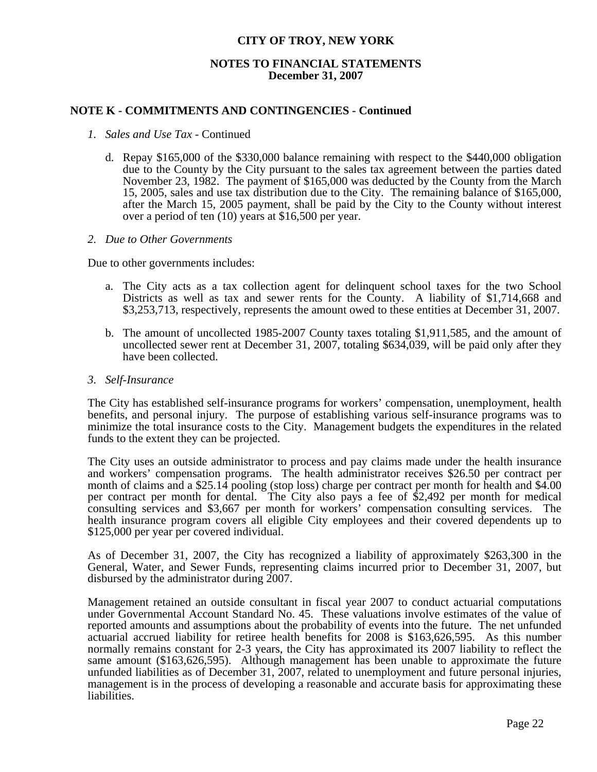### **NOTES TO FINANCIAL STATEMENTS December 31, 2007**

### **NOTE K - COMMITMENTS AND CONTINGENCIES - Continued**

- *1. Sales and Use Tax* Continued
	- d. Repay \$165,000 of the \$330,000 balance remaining with respect to the \$440,000 obligation due to the County by the City pursuant to the sales tax agreement between the parties dated November 23, 1982. The payment of \$165,000 was deducted by the County from the March 15, 2005, sales and use tax distribution due to the City. The remaining balance of \$165,000, after the March 15, 2005 payment, shall be paid by the City to the County without interest over a period of ten (10) years at \$16,500 per year.

#### *2. Due to Other Governments*

Due to other governments includes:

- a. The City acts as a tax collection agent for delinquent school taxes for the two School Districts as well as tax and sewer rents for the County. A liability of \$1,714,668 and \$3,253,713, respectively, represents the amount owed to these entities at December 31, 2007.
- b. The amount of uncollected 1985-2007 County taxes totaling \$1,911,585, and the amount of uncollected sewer rent at December 31, 2007, totaling \$634,039, will be paid only after they have been collected.
- *3. Self-Insurance*

 The City has established self-insurance programs for workers' compensation, unemployment, health benefits, and personal injury. The purpose of establishing various self-insurance programs was to minimize the total insurance costs to the City. Management budgets the expenditures in the related funds to the extent they can be projected.

 The City uses an outside administrator to process and pay claims made under the health insurance and workers' compensation programs. The health administrator receives \$26.50 per contract per month of claims and a \$25.14 pooling (stop loss) charge per contract per month for health and \$4.00 per contract per month for dental. The City also pays a fee of \$2,492 per month for medical consulting services and \$3,667 per month for workers' compensation consulting services. The health insurance program covers all eligible City employees and their covered dependents up to \$125,000 per year per covered individual.

 As of December 31, 2007, the City has recognized a liability of approximately \$263,300 in the General, Water, and Sewer Funds, representing claims incurred prior to December 31, 2007, but disbursed by the administrator during 2007.

 Management retained an outside consultant in fiscal year 2007 to conduct actuarial computations under Governmental Account Standard No. 45. These valuations involve estimates of the value of reported amounts and assumptions about the probability of events into the future. The net unfunded actuarial accrued liability for retiree health benefits for 2008 is \$163,626,595. As this number normally remains constant for 2-3 years, the City has approximated its 2007 liability to reflect the same amount (\$163,626,595). Although management has been unable to approximate the future unfunded liabilities as of December 31, 2007, related to unemployment and future personal injuries, management is in the process of developing a reasonable and accurate basis for approximating these liabilities.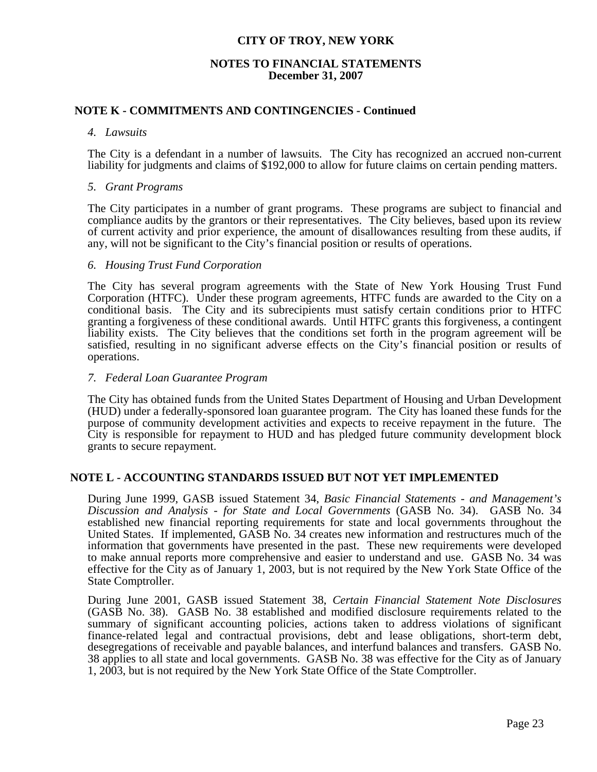### **NOTES TO FINANCIAL STATEMENTS December 31, 2007**

### **NOTE K - COMMITMENTS AND CONTINGENCIES - Continued**

#### *4. Lawsuits*

 The City is a defendant in a number of lawsuits. The City has recognized an accrued non-current liability for judgments and claims of \$192,000 to allow for future claims on certain pending matters.

### *5. Grant Programs*

 The City participates in a number of grant programs. These programs are subject to financial and compliance audits by the grantors or their representatives. The City believes, based upon its review of current activity and prior experience, the amount of disallowances resulting from these audits, if any, will not be significant to the City's financial position or results of operations.

### *6. Housing Trust Fund Corporation*

 The City has several program agreements with the State of New York Housing Trust Fund Corporation (HTFC). Under these program agreements, HTFC funds are awarded to the City on a conditional basis. The City and its subrecipients must satisfy certain conditions prior to HTFC granting a forgiveness of these conditional awards. Until HTFC grants this forgiveness, a contingent liability exists. The City believes that the conditions set forth in the program agreement will be satisfied, resulting in no significant adverse effects on the City's financial position or results of operations.

### *7. Federal Loan Guarantee Program*

 The City has obtained funds from the United States Department of Housing and Urban Development (HUD) under a federally-sponsored loan guarantee program. The City has loaned these funds for the purpose of community development activities and expects to receive repayment in the future. The City is responsible for repayment to HUD and has pledged future community development block grants to secure repayment.

### **NOTE L - ACCOUNTING STANDARDS ISSUED BUT NOT YET IMPLEMENTED**

 During June 1999, GASB issued Statement 34, *Basic Financial Statements - and Management's Discussion and Analysis - for State and Local Governments* (GASB No. 34). GASB No. 34 established new financial reporting requirements for state and local governments throughout the United States. If implemented, GASB No. 34 creates new information and restructures much of the information that governments have presented in the past. These new requirements were developed to make annual reports more comprehensive and easier to understand and use. GASB No. 34 was effective for the City as of January 1, 2003, but is not required by the New York State Office of the State Comptroller.

 During June 2001, GASB issued Statement 38, *Certain Financial Statement Note Disclosures* (GASB No. 38). GASB No. 38 established and modified disclosure requirements related to the summary of significant accounting policies, actions taken to address violations of significant finance-related legal and contractual provisions, debt and lease obligations, short-term debt, desegregations of receivable and payable balances, and interfund balances and transfers. GASB No. 38 applies to all state and local governments. GASB No. 38 was effective for the City as of January 1, 2003, but is not required by the New York State Office of the State Comptroller.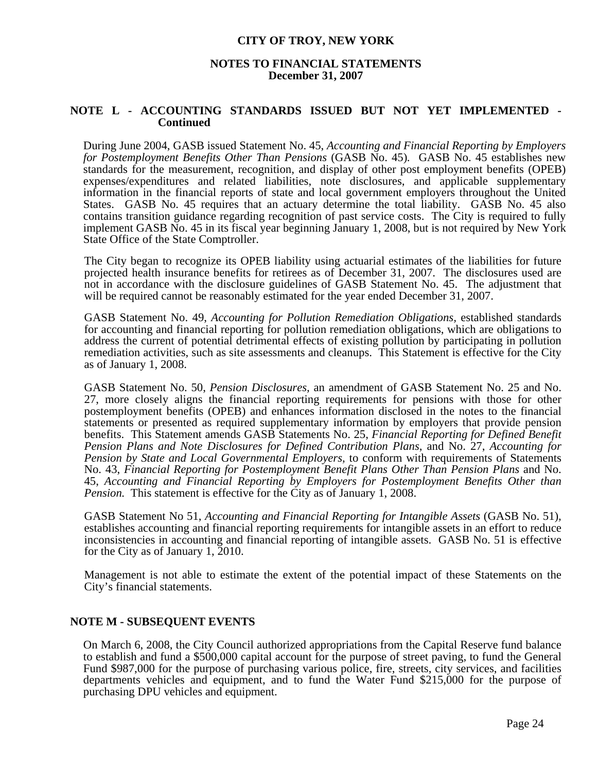### **NOTES TO FINANCIAL STATEMENTS December 31, 2007**

### **NOTE L - ACCOUNTING STANDARDS ISSUED BUT NOT YET IMPLEMENTED - Continued**

During June 2004, GASB issued Statement No. 45, *Accounting and Financial Reporting by Employers for Postemployment Benefits Other Than Pensions* (GASB No. 45)*.* GASB No. 45 establishes new standards for the measurement, recognition, and display of other post employment benefits (OPEB) expenses/expenditures and related liabilities, note disclosures, and applicable supplementary information in the financial reports of state and local government employers throughout the United States. GASB No. 45 requires that an actuary determine the total liability. GASB No. 45 also contains transition guidance regarding recognition of past service costs. The City is required to fully implement GASB No. 45 in its fiscal year beginning January 1, 2008, but is not required by New York State Office of the State Comptroller.

 The City began to recognize its OPEB liability using actuarial estimates of the liabilities for future projected health insurance benefits for retirees as of December 31, 2007. The disclosures used are not in accordance with the disclosure guidelines of GASB Statement No. 45. The adjustment that will be required cannot be reasonably estimated for the year ended December 31, 2007.

 GASB Statement No. 49, *Accounting for Pollution Remediation Obligations,* established standards for accounting and financial reporting for pollution remediation obligations, which are obligations to address the current of potential detrimental effects of existing pollution by participating in pollution remediation activities, such as site assessments and cleanups. This Statement is effective for the City as of January 1, 2008.

 GASB Statement No. 50, *Pension Disclosures,* an amendment of GASB Statement No. 25 and No. 27, more closely aligns the financial reporting requirements for pensions with those for other postemployment benefits (OPEB) and enhances information disclosed in the notes to the financial statements or presented as required supplementary information by employers that provide pension benefits. This Statement amends GASB Statements No. 25, *Financial Reporting for Defined Benefit Pension Plans and Note Disclosures for Defined Contribution Plans,* and No. 27, *Accounting for Pension by State and Local Governmental Employers,* to conform with requirements of Statements No. 43, *Financial Reporting for Postemployment Benefit Plans Other Than Pension Plans* and No. 45, *Accounting and Financial Reporting by Employers for Postemployment Benefits Other than Pension.* This statement is effective for the City as of January 1, 2008.

GASB Statement No 51, *Accounting and Financial Reporting for Intangible Assets* (GASB No. 51), establishes accounting and financial reporting requirements for intangible assets in an effort to reduce inconsistencies in accounting and financial reporting of intangible assets. GASB No. 51 is effective for the City as of January 1, 2010.

 Management is not able to estimate the extent of the potential impact of these Statements on the City's financial statements.

### **NOTE M - SUBSEQUENT EVENTS**

On March 6, 2008, the City Council authorized appropriations from the Capital Reserve fund balance to establish and fund a \$500,000 capital account for the purpose of street paving, to fund the General Fund \$987,000 for the purpose of purchasing various police, fire, streets, city services, and facilities departments vehicles and equipment, and to fund the Water Fund \$215,000 for the purpose of purchasing DPU vehicles and equipment.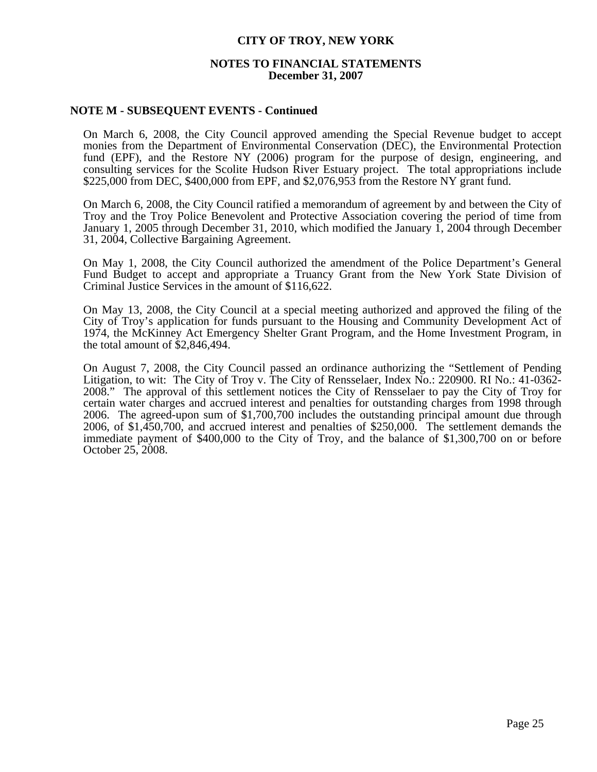### **NOTES TO FINANCIAL STATEMENTS December 31, 2007**

### **NOTE M - SUBSEQUENT EVENTS - Continued**

On March 6, 2008, the City Council approved amending the Special Revenue budget to accept monies from the Department of Environmental Conservation (DEC), the Environmental Protection fund (EPF), and the Restore NY (2006) program for the purpose of design, engineering, and consulting services for the Scolite Hudson River Estuary project. The total appropriations include \$225,000 from DEC, \$400,000 from EPF, and \$2,076,953 from the Restore NY grant fund.

On March 6, 2008, the City Council ratified a memorandum of agreement by and between the City of Troy and the Troy Police Benevolent and Protective Association covering the period of time from January 1, 2005 through December 31, 2010, which modified the January 1, 2004 through December 31, 2004, Collective Bargaining Agreement.

On May 1, 2008, the City Council authorized the amendment of the Police Department's General Fund Budget to accept and appropriate a Truancy Grant from the New York State Division of Criminal Justice Services in the amount of \$116,622.

On May 13, 2008, the City Council at a special meeting authorized and approved the filing of the City of Troy's application for funds pursuant to the Housing and Community Development Act of 1974, the McKinney Act Emergency Shelter Grant Program, and the Home Investment Program, in the total amount of \$2,846,494.

On August 7, 2008, the City Council passed an ordinance authorizing the "Settlement of Pending Litigation, to wit: The City of Troy v. The City of Rensselaer, Index No.: 220900. RI No.: 41-0362- 2008." The approval of this settlement notices the City of Rensselaer to pay the City of Troy for certain water charges and accrued interest and penalties for outstanding charges from 1998 through 2006. The agreed-upon sum of \$1,700,700 includes the outstanding principal amount due through 2006, of \$1,450,700, and accrued interest and penalties of \$250,000. The settlement demands the immediate payment of \$400,000 to the City of Troy, and the balance of \$1,300,700 on or before October 25, 2008.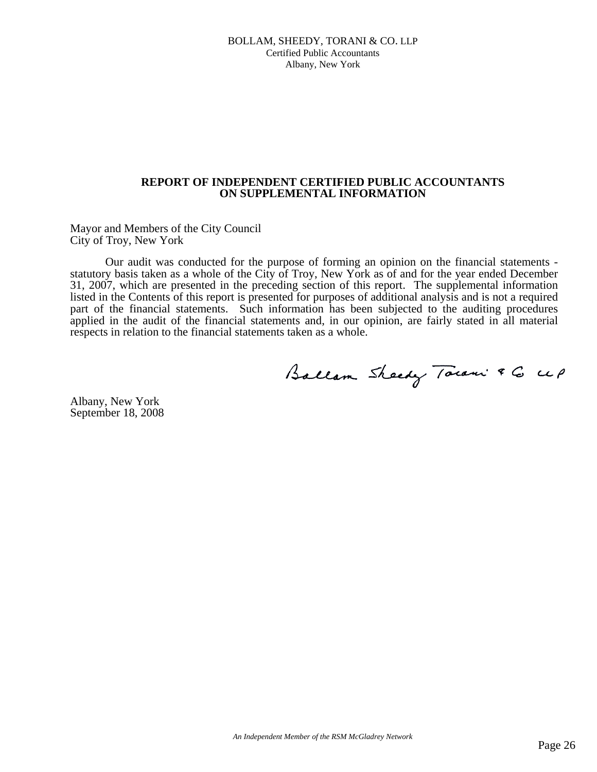#### BOLLAM, SHEEDY, TORANI & CO. LLP Certified Public Accountants Albany, New York

### **REPORT OF INDEPENDENT CERTIFIED PUBLIC ACCOUNTANTS ON SUPPLEMENTAL INFORMATION**

Mayor and Members of the City Council City of Troy, New York

Our audit was conducted for the purpose of forming an opinion on the financial statements statutory basis taken as a whole of the City of Troy, New York as of and for the year ended December 31, 2007, which are presented in the preceding section of this report. The supplemental information listed in the Contents of this report is presented for purposes of additional analysis and is not a required part of the financial statements. Such information has been subjected to the auditing procedures applied in the audit of the financial statements and, in our opinion, are fairly stated in all material respects in relation to the financial statements taken as a whole.

Ballam Sheedy Town & G UP

Albany, New York September 18, 2008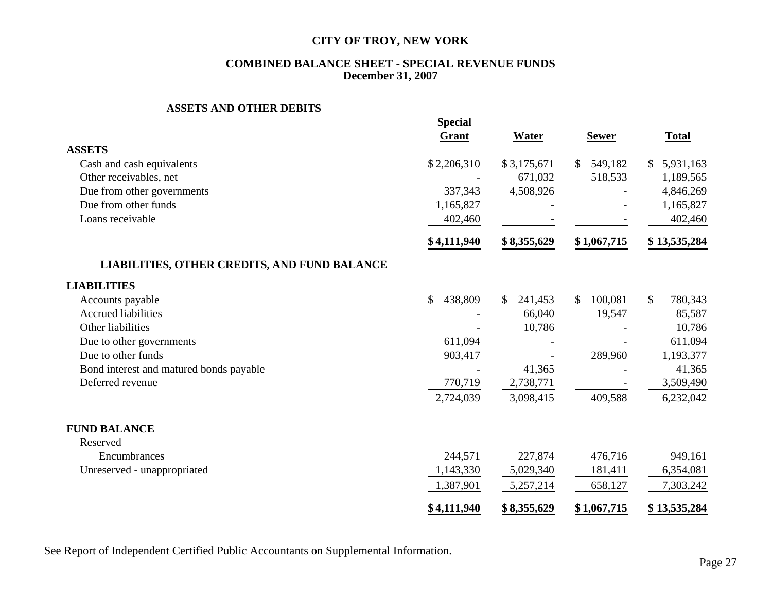### **COMBINED BALANCE SHEET - SPECIAL REVENUE FUNDS December 31, 2007**

#### **ASSETS AND OTHER DEBITS**

|                                              | <b>Special</b> |               |               |                         |
|----------------------------------------------|----------------|---------------|---------------|-------------------------|
|                                              | Grant          | <b>Water</b>  | <b>Sewer</b>  | <b>Total</b>            |
| <b>ASSETS</b>                                |                |               |               |                         |
| Cash and cash equivalents                    | \$2,206,310    | \$3,175,671   | \$<br>549,182 | 5,931,163<br>\$         |
| Other receivables, net                       |                | 671,032       | 518,533       | 1,189,565               |
| Due from other governments                   | 337,343        | 4,508,926     |               | 4,846,269               |
| Due from other funds                         | 1,165,827      |               |               | 1,165,827               |
| Loans receivable                             | 402,460        |               |               | 402,460                 |
|                                              | \$4,111,940    | \$8,355,629   | \$1,067,715   | \$13,535,284            |
| LIABILITIES, OTHER CREDITS, AND FUND BALANCE |                |               |               |                         |
| <b>LIABILITIES</b>                           |                |               |               |                         |
| Accounts payable                             | 438,809<br>\$  | 241,453<br>S. | 100,081<br>\$ | $\mathbb{S}$<br>780,343 |
| <b>Accrued liabilities</b>                   |                | 66,040        | 19,547        | 85,587                  |
| Other liabilities                            |                | 10,786        |               | 10,786                  |
| Due to other governments                     | 611,094        |               |               | 611,094                 |
| Due to other funds                           | 903,417        |               | 289,960       | 1,193,377               |
| Bond interest and matured bonds payable      |                | 41,365        |               | 41,365                  |
| Deferred revenue                             | 770,719        | 2,738,771     |               | 3,509,490               |
|                                              | 2,724,039      | 3,098,415     | 409,588       | 6,232,042               |
| <b>FUND BALANCE</b>                          |                |               |               |                         |
| Reserved                                     |                |               |               |                         |
| Encumbrances                                 | 244,571        | 227,874       | 476,716       | 949,161                 |
| Unreserved - unappropriated                  | 1,143,330      | 5,029,340     | 181,411       | 6,354,081               |
|                                              | 1,387,901      | 5,257,214     | 658,127       | 7,303,242               |
|                                              | \$4,111,940    | \$8,355,629   | \$1,067,715   | \$13,535,284            |

See Report of Independent Certified Public Accountants on Supplemental Information.